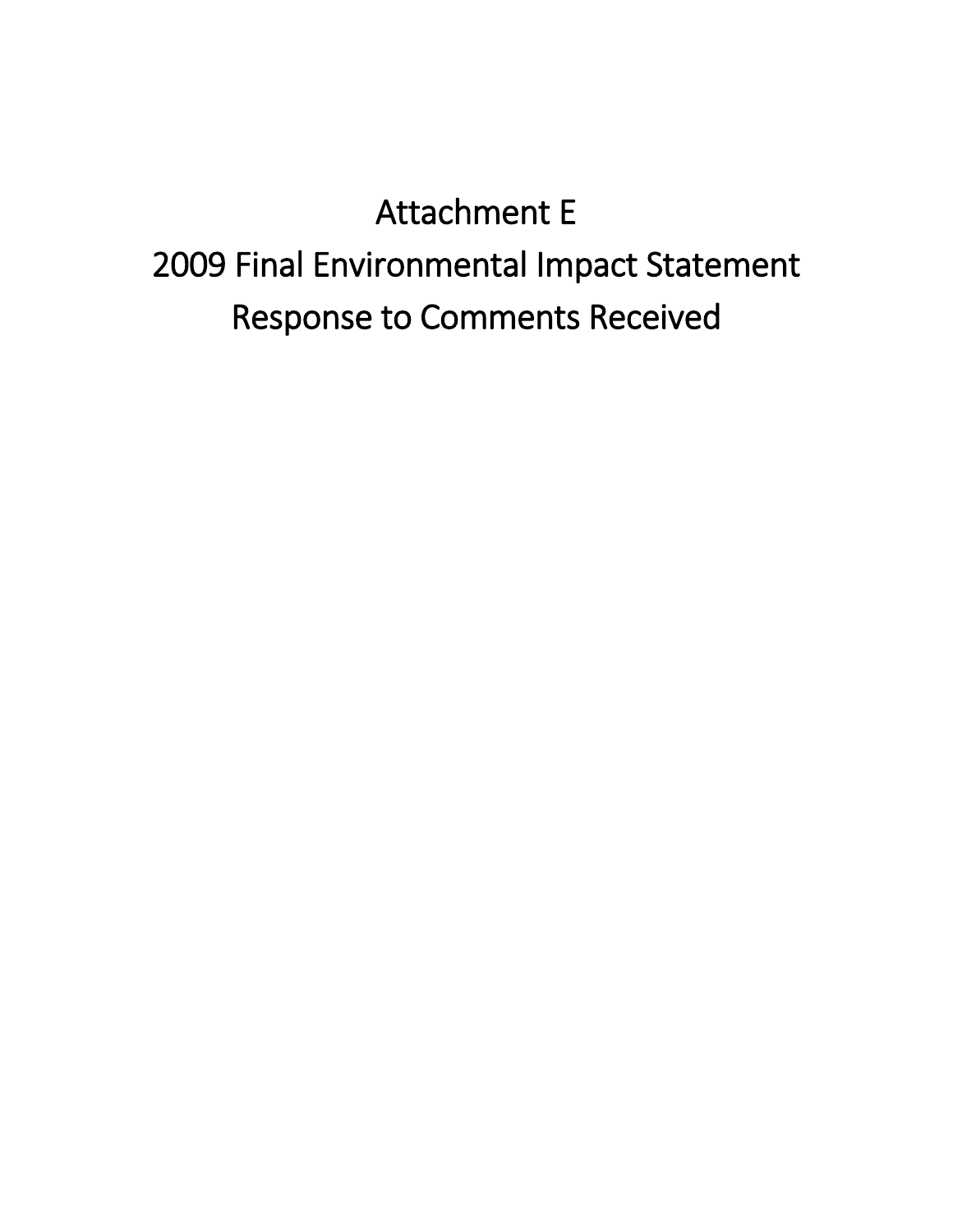# Attachment E 2009 Final Environmental Impact Statement Response to Comments Received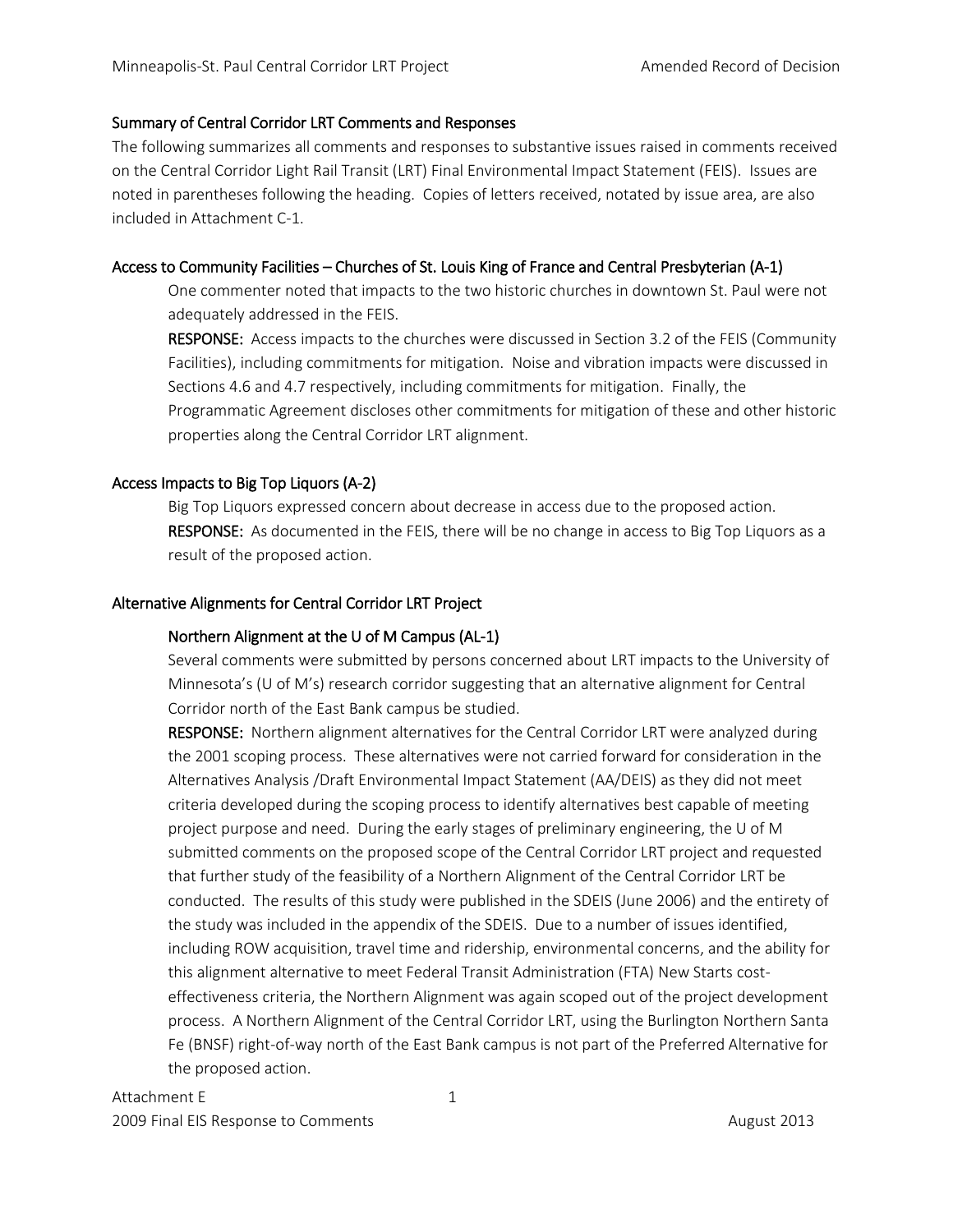## Summary of Central Corridor LRT Comments and Responses

The following summarizes all comments and responses to substantive issues raised in comments received on the Central Corridor Light Rail Transit (LRT) Final Environmental Impact Statement (FEIS). Issues are noted in parentheses following the heading. Copies of letters received, notated by issue area, are also included in Attachment C-1.

# Access to Community Facilities – Churches of St. Louis King of France and Central Presbyterian (A-1)

One commenter noted that impacts to the two historic churches in downtown St. Paul were not adequately addressed in the FEIS.

RESPONSE: Access impacts to the churches were discussed in Section 3.2 of the FEIS (Community Facilities), including commitments for mitigation. Noise and vibration impacts were discussed in Sections 4.6 and 4.7 respectively, including commitments for mitigation. Finally, the Programmatic Agreement discloses other commitments for mitigation of these and other historic properties along the Central Corridor LRT alignment.

# Access Impacts to Big Top Liquors (A-2)

 Big Top Liquors expressed concern about decrease in access due to the proposed action. RESPONSE: As documented in the FEIS, there will be no change in access to Big Top Liquors as a result of the proposed action.

# Alternative Alignments for Central Corridor LRT Project

# Northern Alignment at the U of M Campus (AL-1)

Several comments were submitted by persons concerned about LRT impacts to the University of Minnesota's (U of M's) research corridor suggesting that an alternative alignment for Central Corridor north of the East Bank campus be studied.

RESPONSE: Northern alignment alternatives for the Central Corridor LRT were analyzed during the 2001 scoping process. These alternatives were not carried forward for consideration in the Alternatives Analysis /Draft Environmental Impact Statement (AA/DEIS) as they did not meet criteria developed during the scoping process to identify alternatives best capable of meeting project purpose and need. During the early stages of preliminary engineering, the U of M submitted comments on the proposed scope of the Central Corridor LRT project and requested that further study of the feasibility of a Northern Alignment of the Central Corridor LRT be conducted. The results of this study were published in the SDEIS (June 2006) and the entirety of the study was included in the appendix of the SDEIS. Due to a number of issues identified, including ROW acquisition, travel time and ridership, environmental concerns, and the ability for this alignment alternative to meet Federal Transit Administration (FTA) New Starts costeffectiveness criteria, the Northern Alignment was again scoped out of the project development process. A Northern Alignment of the Central Corridor LRT, using the Burlington Northern Santa Fe (BNSF) right-of-way north of the East Bank campus is not part of the Preferred Alternative for the proposed action.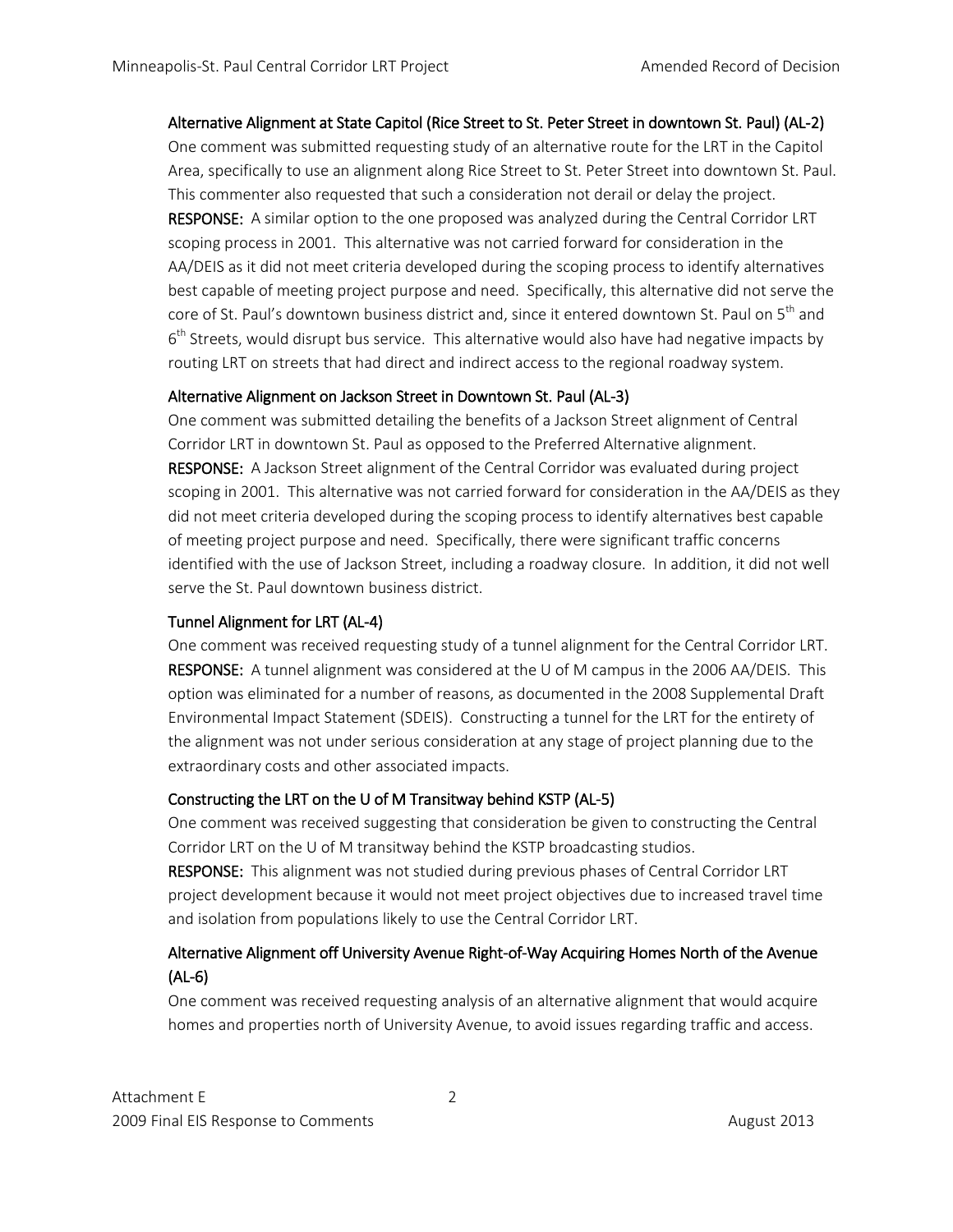# Alternative Alignment at State Capitol (Rice Street to St. Peter Street in downtown St. Paul) (AL-2)

One comment was submitted requesting study of an alternative route for the LRT in the Capitol Area, specifically to use an alignment along Rice Street to St. Peter Street into downtown St. Paul. This commenter also requested that such a consideration not derail or delay the project. RESPONSE: A similar option to the one proposed was analyzed during the Central Corridor LRT scoping process in 2001. This alternative was not carried forward for consideration in the AA/DEIS as it did not meet criteria developed during the scoping process to identify alternatives best capable of meeting project purpose and need. Specifically, this alternative did not serve the core of St. Paul's downtown business district and, since it entered downtown St. Paul on 5<sup>th</sup> and  $6<sup>th</sup>$  Streets, would disrupt bus service. This alternative would also have had negative impacts by routing LRT on streets that had direct and indirect access to the regional roadway system.

# Alternative Alignment on Jackson Street in Downtown St. Paul (AL-3)

One comment was submitted detailing the benefits of a Jackson Street alignment of Central Corridor LRT in downtown St. Paul as opposed to the Preferred Alternative alignment. RESPONSE: A Jackson Street alignment of the Central Corridor was evaluated during project scoping in 2001. This alternative was not carried forward for consideration in the AA/DEIS as they did not meet criteria developed during the scoping process to identify alternatives best capable of meeting project purpose and need. Specifically, there were significant traffic concerns identified with the use of Jackson Street, including a roadway closure. In addition, it did not well serve the St. Paul downtown business district.

# Tunnel Alignment for LRT (AL-4)

One comment was received requesting study of a tunnel alignment for the Central Corridor LRT. RESPONSE: A tunnel alignment was considered at the U of M campus in the 2006 AA/DEIS. This option was eliminated for a number of reasons, as documented in the 2008 Supplemental Draft Environmental Impact Statement (SDEIS). Constructing a tunnel for the LRT for the entirety of the alignment was not under serious consideration at any stage of project planning due to the extraordinary costs and other associated impacts.

# Constructing the LRT on the U of M Transitway behind KSTP (AL-5)

One comment was received suggesting that consideration be given to constructing the Central Corridor LRT on the U of M transitway behind the KSTP broadcasting studios.

RESPONSE: This alignment was not studied during previous phases of Central Corridor LRT project development because it would not meet project objectives due to increased travel time and isolation from populations likely to use the Central Corridor LRT.

# Alternative Alignment off University Avenue Right-of-Way Acquiring Homes North of the Avenue (AL-6)

One comment was received requesting analysis of an alternative alignment that would acquire homes and properties north of University Avenue, to avoid issues regarding traffic and access.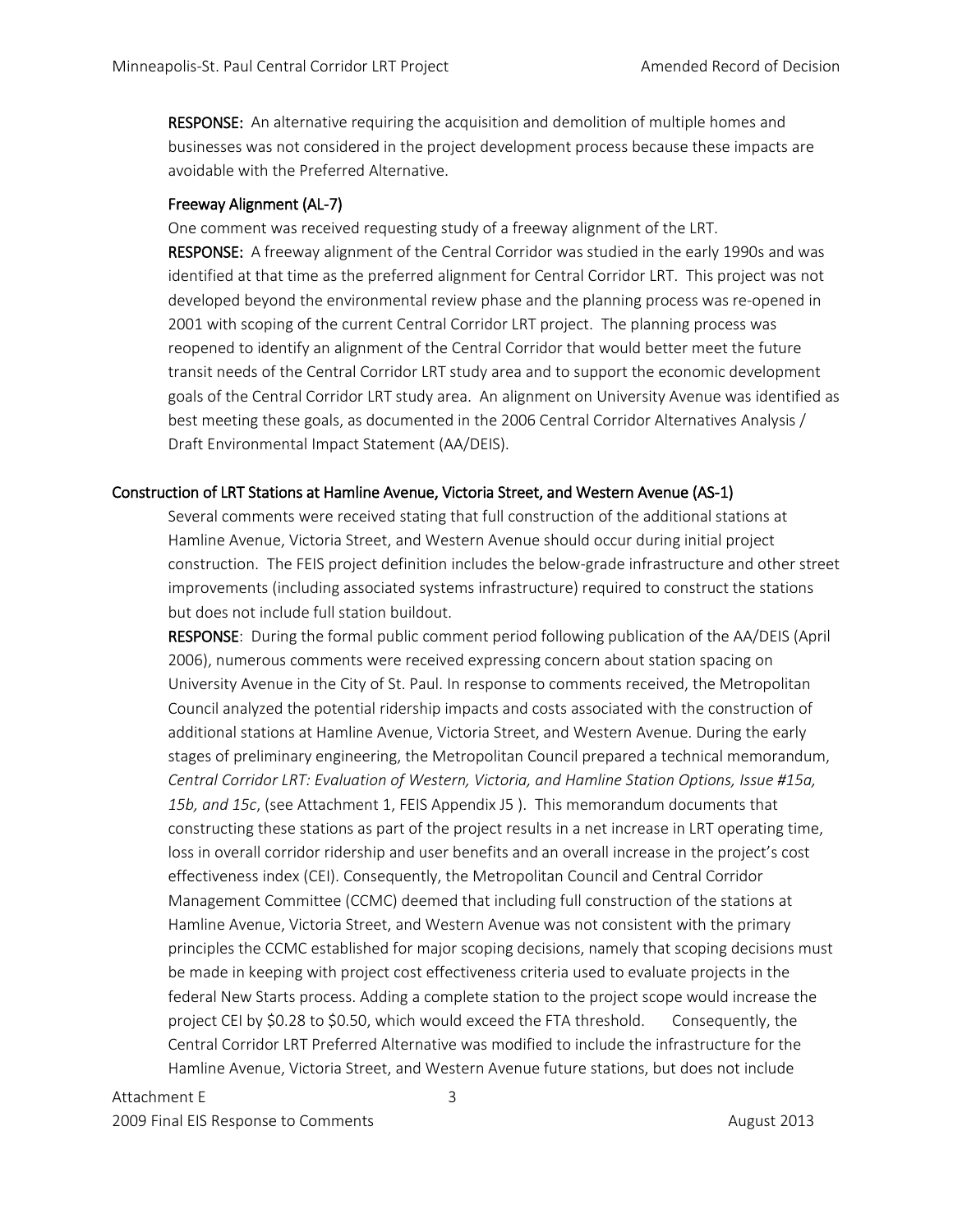RESPONSE: An alternative requiring the acquisition and demolition of multiple homes and businesses was not considered in the project development process because these impacts are avoidable with the Preferred Alternative.

# Freeway Alignment (AL-7)

One comment was received requesting study of a freeway alignment of the LRT. RESPONSE: A freeway alignment of the Central Corridor was studied in the early 1990s and was identified at that time as the preferred alignment for Central Corridor LRT. This project was not developed beyond the environmental review phase and the planning process was re-opened in 2001 with scoping of the current Central Corridor LRT project. The planning process was reopened to identify an alignment of the Central Corridor that would better meet the future transit needs of the Central Corridor LRT study area and to support the economic development goals of the Central Corridor LRT study area. An alignment on University Avenue was identified as best meeting these goals, as documented in the 2006 Central Corridor Alternatives Analysis / Draft Environmental Impact Statement (AA/DEIS).

## Construction of LRT Stations at Hamline Avenue, Victoria Street, and Western Avenue (AS-1)

Several comments were received stating that full construction of the additional stations at Hamline Avenue, Victoria Street, and Western Avenue should occur during initial project construction. The FEIS project definition includes the below-grade infrastructure and other street improvements (including associated systems infrastructure) required to construct the stations but does not include full station buildout.

RESPONSE: During the formal public comment period following publication of the AA/DEIS (April 2006), numerous comments were received expressing concern about station spacing on University Avenue in the City of St. Paul. In response to comments received, the Metropolitan Council analyzed the potential ridership impacts and costs associated with the construction of additional stations at Hamline Avenue, Victoria Street, and Western Avenue. During the early stages of preliminary engineering, the Metropolitan Council prepared a technical memorandum, *Central Corridor LRT: Evaluation of Western, Victoria, and Hamline Station Options, Issue #15a, 15b, and 15c*, (see Attachment 1, FEIS Appendix J5 ). This memorandum documents that constructing these stations as part of the project results in a net increase in LRT operating time, loss in overall corridor ridership and user benefits and an overall increase in the project's cost effectiveness index (CEI). Consequently, the Metropolitan Council and Central Corridor Management Committee (CCMC) deemed that including full construction of the stations at Hamline Avenue, Victoria Street, and Western Avenue was not consistent with the primary principles the CCMC established for major scoping decisions, namely that scoping decisions must be made in keeping with project cost effectiveness criteria used to evaluate projects in the federal New Starts process. Adding a complete station to the project scope would increase the project CEI by \$0.28 to \$0.50, which would exceed the FTA threshold. Consequently, the Central Corridor LRT Preferred Alternative was modified to include the infrastructure for the Hamline Avenue, Victoria Street, and Western Avenue future stations, but does not include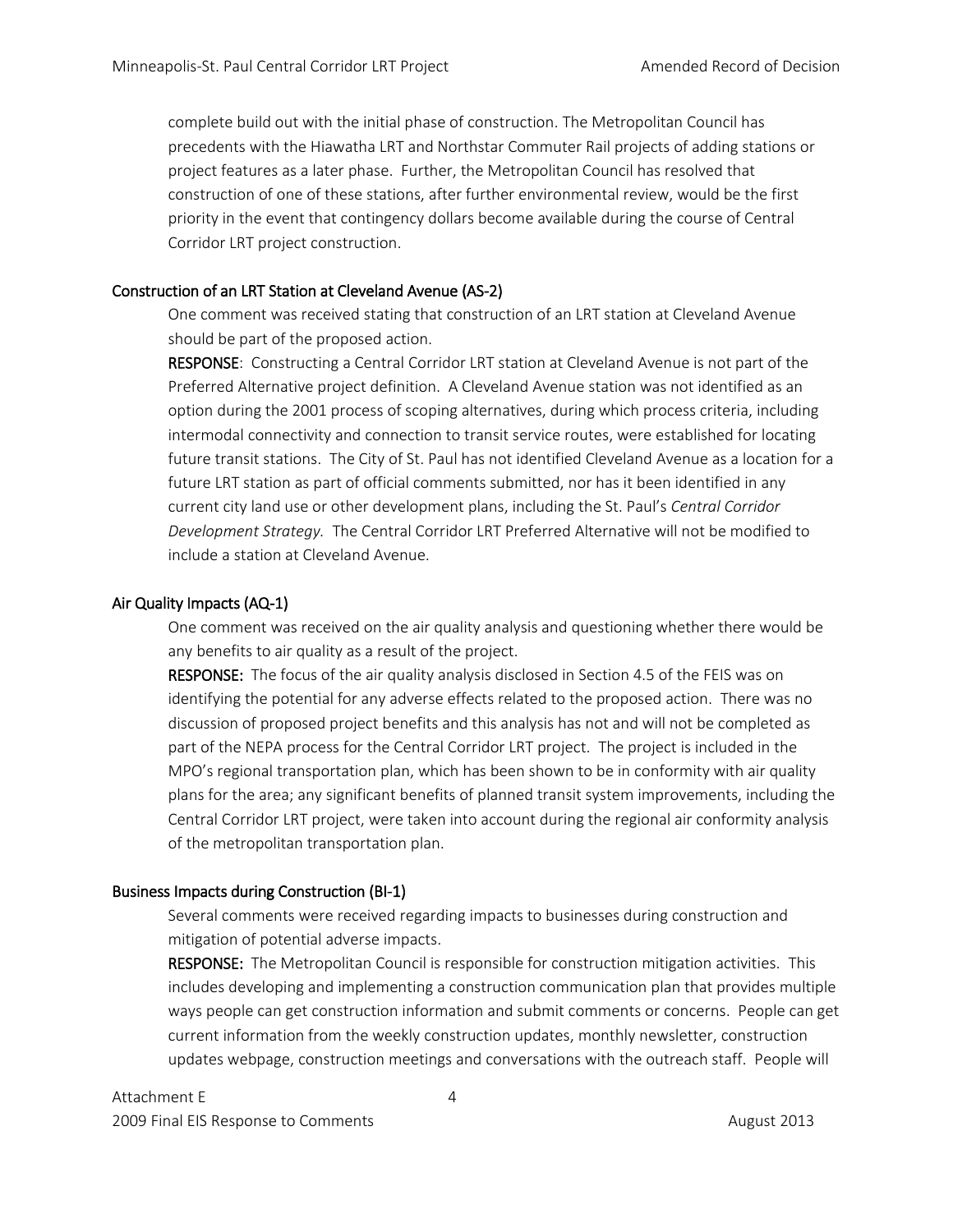complete build out with the initial phase of construction. The Metropolitan Council has precedents with the Hiawatha LRT and Northstar Commuter Rail projects of adding stations or project features as a later phase. Further, the Metropolitan Council has resolved that construction of one of these stations, after further environmental review, would be the first priority in the event that contingency dollars become available during the course of Central Corridor LRT project construction.

# Construction of an LRT Station at Cleveland Avenue (AS-2)

One comment was received stating that construction of an LRT station at Cleveland Avenue should be part of the proposed action.

RESPONSE: Constructing a Central Corridor LRT station at Cleveland Avenue is not part of the Preferred Alternative project definition. A Cleveland Avenue station was not identified as an option during the 2001 process of scoping alternatives, during which process criteria, including intermodal connectivity and connection to transit service routes, were established for locating future transit stations. The City of St. Paul has not identified Cleveland Avenue as a location for a future LRT station as part of official comments submitted, nor has it been identified in any current city land use or other development plans, including the St. Paul's *Central Corridor Development Strategy.* The Central Corridor LRT Preferred Alternative will not be modified to include a station at Cleveland Avenue.

## Air Quality Impacts (AQ-1)

One comment was received on the air quality analysis and questioning whether there would be any benefits to air quality as a result of the project.

RESPONSE: The focus of the air quality analysis disclosed in Section 4.5 of the FEIS was on identifying the potential for any adverse effects related to the proposed action. There was no discussion of proposed project benefits and this analysis has not and will not be completed as part of the NEPA process for the Central Corridor LRT project. The project is included in the MPO's regional transportation plan, which has been shown to be in conformity with air quality plans for the area; any significant benefits of planned transit system improvements, including the Central Corridor LRT project, were taken into account during the regional air conformity analysis of the metropolitan transportation plan.

# Business Impacts during Construction (BI-1)

Several comments were received regarding impacts to businesses during construction and mitigation of potential adverse impacts.

RESPONSE: The Metropolitan Council is responsible for construction mitigation activities. This includes developing and implementing a construction communication plan that provides multiple ways people can get construction information and submit comments or concerns. People can get current information from the weekly construction updates, monthly newsletter, construction updates webpage, construction meetings and conversations with the outreach staff. People will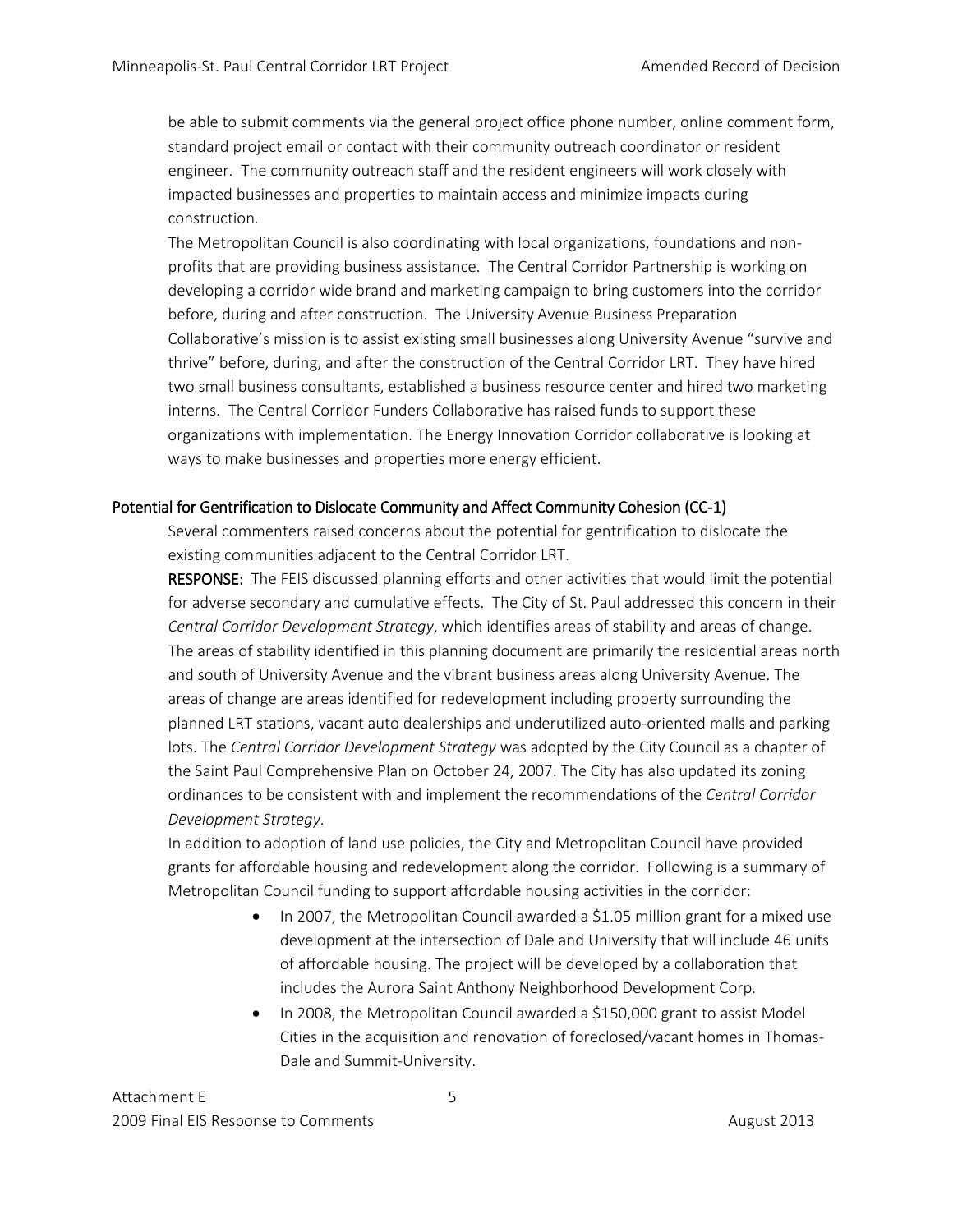be able to submit comments via the general project office phone number, online comment form, standard project email or contact with their community outreach coordinator or resident engineer. The community outreach staff and the resident engineers will work closely with impacted businesses and properties to maintain access and minimize impacts during construction.

The Metropolitan Council is also coordinating with local organizations, foundations and nonprofits that are providing business assistance. The Central Corridor Partnership is working on developing a corridor wide brand and marketing campaign to bring customers into the corridor before, during and after construction. The University Avenue Business Preparation Collaborative's mission is to assist existing small businesses along University Avenue "survive and thrive" before, during, and after the construction of the Central Corridor LRT. They have hired two small business consultants, established a business resource center and hired two marketing interns. The Central Corridor Funders Collaborative has raised funds to support these organizations with implementation. The Energy Innovation Corridor collaborative is looking at ways to make businesses and properties more energy efficient.

# Potential for Gentrification to Dislocate Community and Affect Community Cohesion (CC-1)

Several commenters raised concerns about the potential for gentrification to dislocate the existing communities adjacent to the Central Corridor LRT.

RESPONSE: The FEIS discussed planning efforts and other activities that would limit the potential for adverse secondary and cumulative effects. The City of St. Paul addressed this concern in their *Central Corridor Development Strategy*, which identifies areas of stability and areas of change. The areas of stability identified in this planning document are primarily the residential areas north and south of University Avenue and the vibrant business areas along University Avenue. The areas of change are areas identified for redevelopment including property surrounding the planned LRT stations, vacant auto dealerships and underutilized auto-oriented malls and parking lots. The *Central Corridor Development Strategy* was adopted by the City Council as a chapter of the Saint Paul Comprehensive Plan on October 24, 2007. The City has also updated its zoning ordinances to be consistent with and implement the recommendations of the *Central Corridor Development Strategy*.

In addition to adoption of land use policies, the City and Metropolitan Council have provided grants for affordable housing and redevelopment along the corridor. Following is a summary of Metropolitan Council funding to support affordable housing activities in the corridor:

- In 2007, the Metropolitan Council awarded a \$1.05 million grant for a mixed use development at the intersection of Dale and University that will include 46 units of affordable housing. The project will be developed by a collaboration that includes the Aurora Saint Anthony Neighborhood Development Corp.
- In 2008, the Metropolitan Council awarded a \$150,000 grant to assist Model Cities in the acquisition and renovation of foreclosed/vacant homes in Thomas-Dale and Summit-University.

Attachment E 5 2009 Final EIS Response to Comments **August 2013** August 2013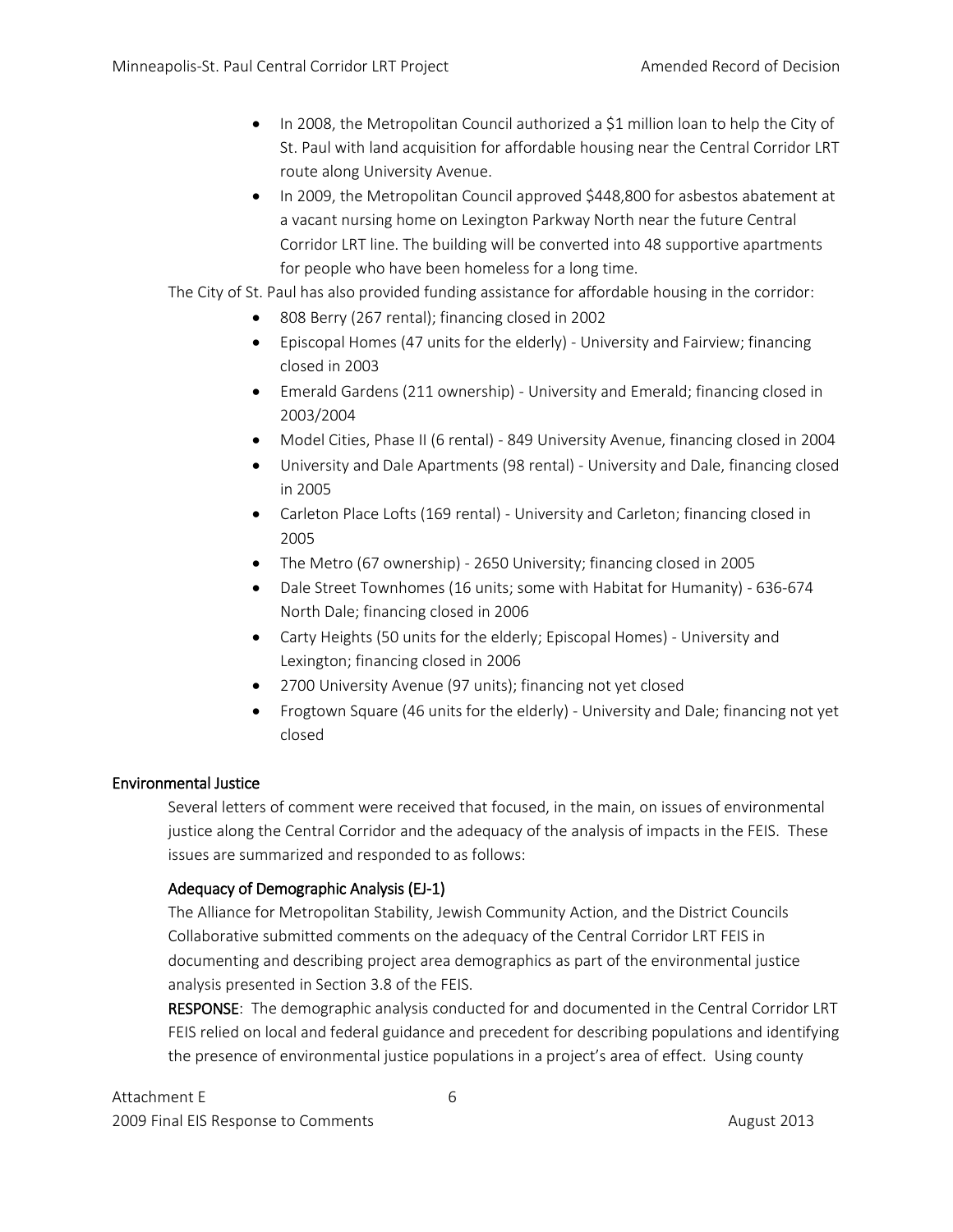- In 2008, the Metropolitan Council authorized a \$1 million loan to help the City of St. Paul with land acquisition for affordable housing near the Central Corridor LRT route along University Avenue.
- In 2009, the Metropolitan Council approved \$448,800 for asbestos abatement at a vacant nursing home on Lexington Parkway North near the future Central Corridor LRT line. The building will be converted into 48 supportive apartments for people who have been homeless for a long time.

The City of St. Paul has also provided funding assistance for affordable housing in the corridor:

- 808 Berry (267 rental); financing closed in 2002
- Episcopal Homes (47 units for the elderly) University and Fairview; financing closed in 2003
- Emerald Gardens (211 ownership) University and Emerald; financing closed in 2003/2004
- Model Cities, Phase II (6 rental) 849 University Avenue, financing closed in 2004
- University and Dale Apartments (98 rental) University and Dale, financing closed in 2005
- Carleton Place Lofts (169 rental) University and Carleton; financing closed in 2005
- The Metro (67 ownership) 2650 University; financing closed in 2005
- Dale Street Townhomes (16 units; some with Habitat for Humanity) 636-674 North Dale; financing closed in 2006
- Carty Heights (50 units for the elderly; Episcopal Homes) University and Lexington; financing closed in 2006
- 2700 University Avenue (97 units); financing not yet closed
- Frogtown Square (46 units for the elderly) University and Dale; financing not yet closed

# Environmental Justice

Several letters of comment were received that focused, in the main, on issues of environmental justice along the Central Corridor and the adequacy of the analysis of impacts in the FEIS. These issues are summarized and responded to as follows:

# Adequacy of Demographic Analysis (EJ-1)

The Alliance for Metropolitan Stability, Jewish Community Action, and the District Councils Collaborative submitted comments on the adequacy of the Central Corridor LRT FEIS in documenting and describing project area demographics as part of the environmental justice analysis presented in Section 3.8 of the FEIS.

RESPONSE: The demographic analysis conducted for and documented in the Central Corridor LRT FEIS relied on local and federal guidance and precedent for describing populations and identifying the presence of environmental justice populations in a project's area of effect. Using county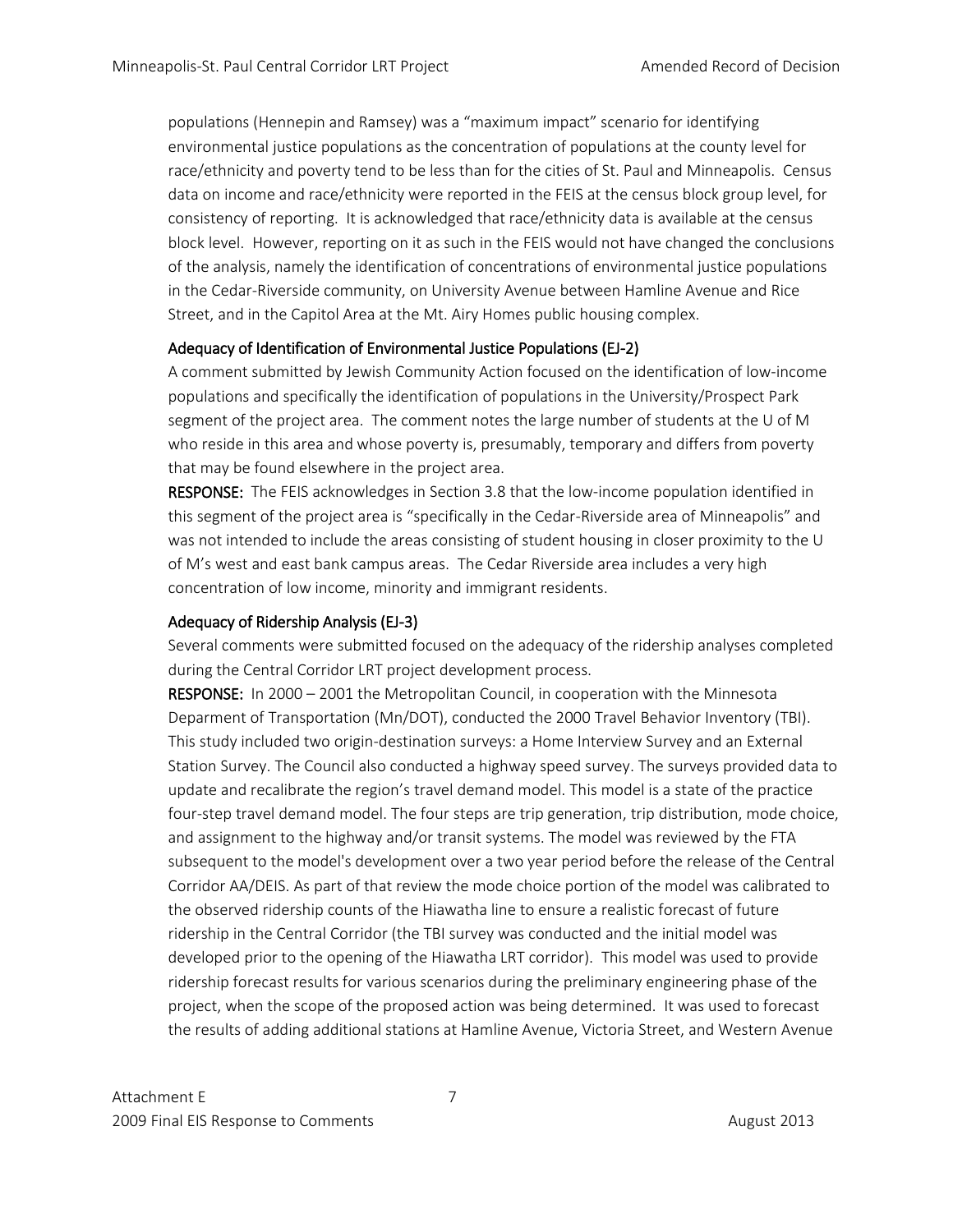populations (Hennepin and Ramsey) was a "maximum impact" scenario for identifying environmental justice populations as the concentration of populations at the county level for race/ethnicity and poverty tend to be less than for the cities of St. Paul and Minneapolis. Census data on income and race/ethnicity were reported in the FEIS at the census block group level, for consistency of reporting. It is acknowledged that race/ethnicity data is available at the census block level. However, reporting on it as such in the FEIS would not have changed the conclusions of the analysis, namely the identification of concentrations of environmental justice populations in the Cedar-Riverside community, on University Avenue between Hamline Avenue and Rice Street, and in the Capitol Area at the Mt. Airy Homes public housing complex.

# Adequacy of Identification of Environmental Justice Populations (EJ-2)

A comment submitted by Jewish Community Action focused on the identification of low-income populations and specifically the identification of populations in the University/Prospect Park segment of the project area. The comment notes the large number of students at the U of M who reside in this area and whose poverty is, presumably, temporary and differs from poverty that may be found elsewhere in the project area.

RESPONSE: The FEIS acknowledges in Section 3.8 that the low-income population identified in this segment of the project area is "specifically in the Cedar-Riverside area of Minneapolis" and was not intended to include the areas consisting of student housing in closer proximity to the U of M's west and east bank campus areas. The Cedar Riverside area includes a very high concentration of low income, minority and immigrant residents.

# Adequacy of Ridership Analysis (EJ-3)

Several comments were submitted focused on the adequacy of the ridership analyses completed during the Central Corridor LRT project development process.

RESPONSE: In 2000 – 2001 the Metropolitan Council, in cooperation with the Minnesota Deparment of Transportation (Mn/DOT), conducted the 2000 Travel Behavior Inventory (TBI). This study included two origin-destination surveys: a Home Interview Survey and an External Station Survey. The Council also conducted a highway speed survey. The surveys provided data to update and recalibrate the region's travel demand model. This model is a state of the practice four-step travel demand model. The four steps are trip generation, trip distribution, mode choice, and assignment to the highway and/or transit systems. The model was reviewed by the FTA subsequent to the model's development over a two year period before the release of the Central Corridor AA/DEIS. As part of that review the mode choice portion of the model was calibrated to the observed ridership counts of the Hiawatha line to ensure a realistic forecast of future ridership in the Central Corridor (the TBI survey was conducted and the initial model was developed prior to the opening of the Hiawatha LRT corridor). This model was used to provide ridership forecast results for various scenarios during the preliminary engineering phase of the project, when the scope of the proposed action was being determined. It was used to forecast the results of adding additional stations at Hamline Avenue, Victoria Street, and Western Avenue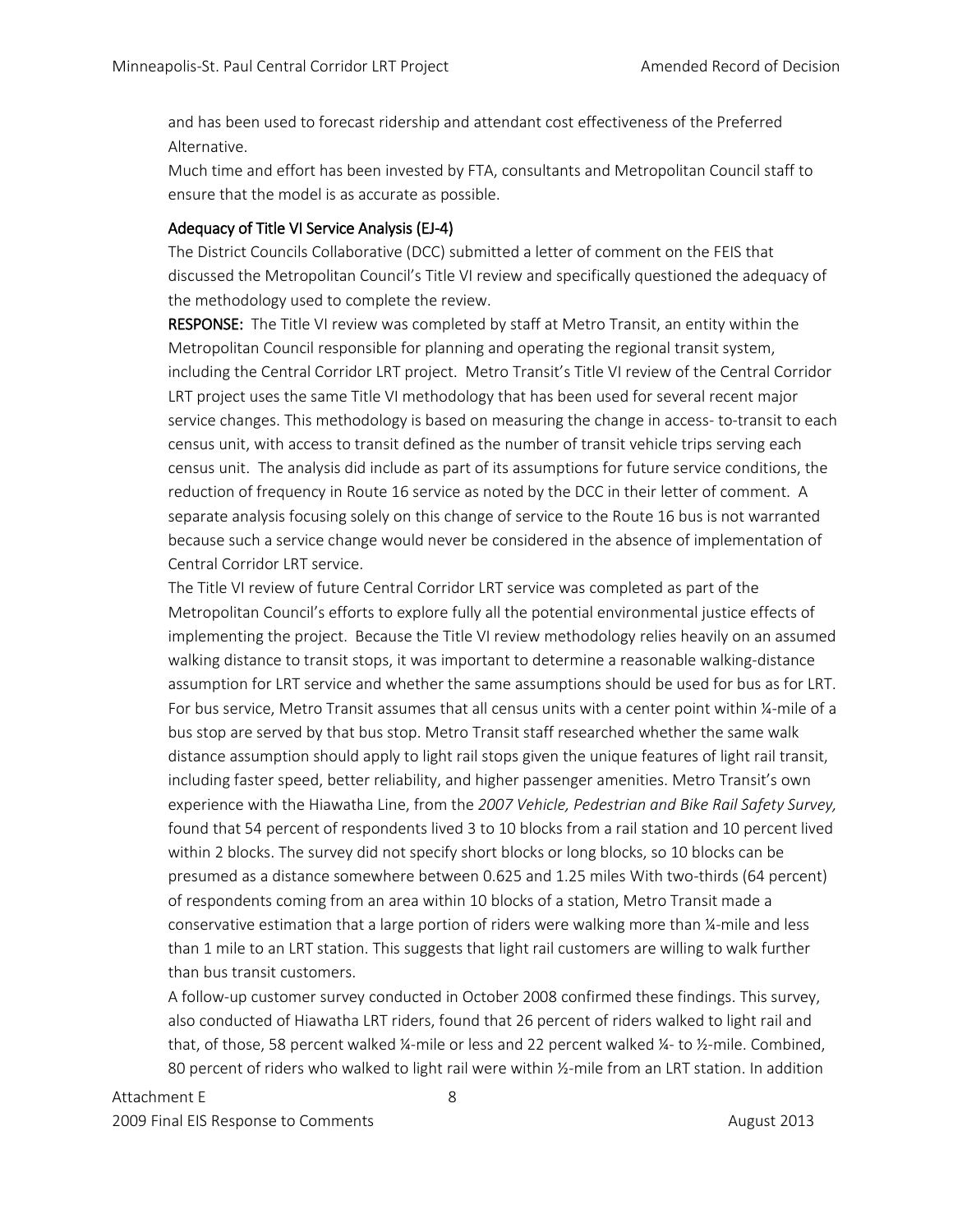and has been used to forecast ridership and attendant cost effectiveness of the Preferred Alternative.

Much time and effort has been invested by FTA, consultants and Metropolitan Council staff to ensure that the model is as accurate as possible.

## Adequacy of Title VI Service Analysis (EJ-4)

The District Councils Collaborative (DCC) submitted a letter of comment on the FEIS that discussed the Metropolitan Council's Title VI review and specifically questioned the adequacy of the methodology used to complete the review.

RESPONSE: The Title VI review was completed by staff at Metro Transit, an entity within the Metropolitan Council responsible for planning and operating the regional transit system, including the Central Corridor LRT project. Metro Transit's Title VI review of the Central Corridor LRT project uses the same Title VI methodology that has been used for several recent major service changes. This methodology is based on measuring the change in access- to-transit to each census unit, with access to transit defined as the number of transit vehicle trips serving each census unit. The analysis did include as part of its assumptions for future service conditions, the reduction of frequency in Route 16 service as noted by the DCC in their letter of comment. A separate analysis focusing solely on this change of service to the Route 16 bus is not warranted because such a service change would never be considered in the absence of implementation of Central Corridor LRT service.

The Title VI review of future Central Corridor LRT service was completed as part of the Metropolitan Council's efforts to explore fully all the potential environmental justice effects of implementing the project. Because the Title VI review methodology relies heavily on an assumed walking distance to transit stops, it was important to determine a reasonable walking-distance assumption for LRT service and whether the same assumptions should be used for bus as for LRT. For bus service, Metro Transit assumes that all census units with a center point within ¼-mile of a bus stop are served by that bus stop. Metro Transit staff researched whether the same walk distance assumption should apply to light rail stops given the unique features of light rail transit, including faster speed, better reliability, and higher passenger amenities. Metro Transit's own experience with the Hiawatha Line, from the *2007 Vehicle, Pedestrian and Bike Rail Safety Survey,*  found that 54 percent of respondents lived 3 to 10 blocks from a rail station and 10 percent lived within 2 blocks. The survey did not specify short blocks or long blocks, so 10 blocks can be presumed as a distance somewhere between 0.625 and 1.25 miles With two-thirds (64 percent) of respondents coming from an area within 10 blocks of a station, Metro Transit made a conservative estimation that a large portion of riders were walking more than ¼-mile and less than 1 mile to an LRT station. This suggests that light rail customers are willing to walk further than bus transit customers.

A follow-up customer survey conducted in October 2008 confirmed these findings. This survey, also conducted of Hiawatha LRT riders, found that 26 percent of riders walked to light rail and that, of those, 58 percent walked ¼-mile or less and 22 percent walked ¼- to ½-mile. Combined, 80 percent of riders who walked to light rail were within ½-mile from an LRT station. In addition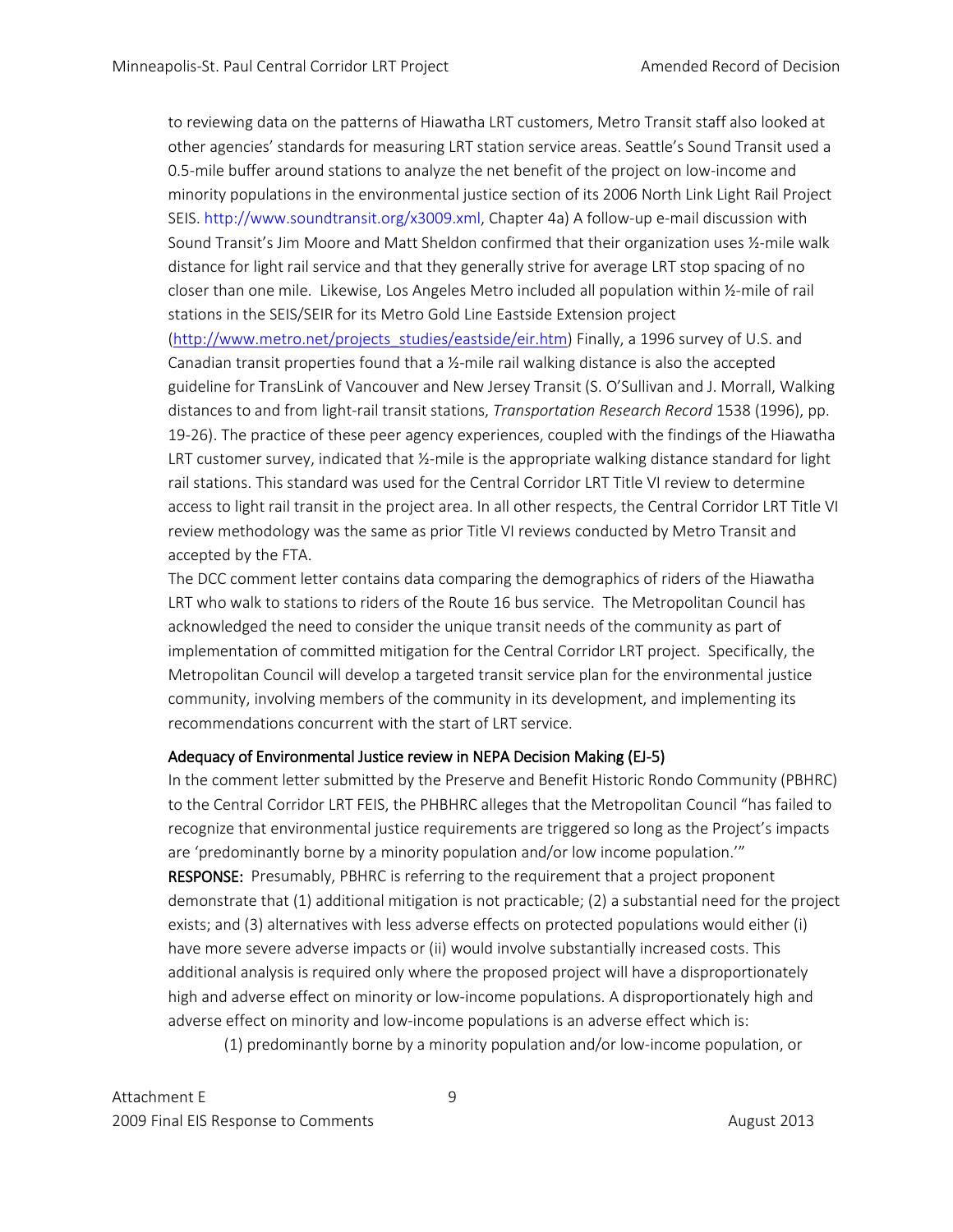to reviewing data on the patterns of Hiawatha LRT customers, Metro Transit staff also looked at other agencies' standards for measuring LRT station service areas. Seattle's Sound Transit used a 0.5-mile buffer around stations to analyze the net benefit of the project on low-income and minority populations in the environmental justice section of its 2006 North Link Light Rail Project SEIS. http://www.soundtransit.org/x3009.xml, Chapter 4a) A follow-up e-mail discussion with Sound Transit's Jim Moore and Matt Sheldon confirmed that their organization uses ½-mile walk distance for light rail service and that they generally strive for average LRT stop spacing of no closer than one mile. Likewise, Los Angeles Metro included all population within ½-mile of rail stations in the SEIS/SEIR for its Metro Gold Line Eastside Extension project [\(http://www.metro.net/projects\\_studies/eastside/eir.htm\)](http://www.metro.net/projects_studies/eastside/eir.htm) Finally, a 1996 survey of U.S. and Canadian transit properties found that a ½-mile rail walking distance is also the accepted guideline for TransLink of Vancouver and New Jersey Transit (S. O'Sullivan and J. Morrall, Walking distances to and from light-rail transit stations, *Transportation Research Record* 1538 (1996), pp. 19-26). The practice of these peer agency experiences, coupled with the findings of the Hiawatha LRT customer survey, indicated that ½-mile is the appropriate walking distance standard for light rail stations. This standard was used for the Central Corridor LRT Title VI review to determine access to light rail transit in the project area. In all other respects, the Central Corridor LRT Title VI review methodology was the same as prior Title VI reviews conducted by Metro Transit and accepted by the FTA.

The DCC comment letter contains data comparing the demographics of riders of the Hiawatha LRT who walk to stations to riders of the Route 16 bus service. The Metropolitan Council has acknowledged the need to consider the unique transit needs of the community as part of implementation of committed mitigation for the Central Corridor LRT project. Specifically, the Metropolitan Council will develop a targeted transit service plan for the environmental justice community, involving members of the community in its development, and implementing its recommendations concurrent with the start of LRT service.

# Adequacy of Environmental Justice review in NEPA Decision Making (EJ-5)

In the comment letter submitted by the Preserve and Benefit Historic Rondo Community (PBHRC) to the Central Corridor LRT FEIS, the PHBHRC alleges that the Metropolitan Council "has failed to recognize that environmental justice requirements are triggered so long as the Project's impacts are 'predominantly borne by a minority population and/or low income population.'" RESPONSE: Presumably, PBHRC is referring to the requirement that a project proponent demonstrate that (1) additional mitigation is not practicable; (2) a substantial need for the project exists; and (3) alternatives with less adverse effects on protected populations would either (i) have more severe adverse impacts or (ii) would involve substantially increased costs. This additional analysis is required only where the proposed project will have a disproportionately high and adverse effect on minority or low-income populations. A disproportionately high and adverse effect on minority and low-income populations is an adverse effect which is:

(1) predominantly borne by a minority population and/or low-income population, or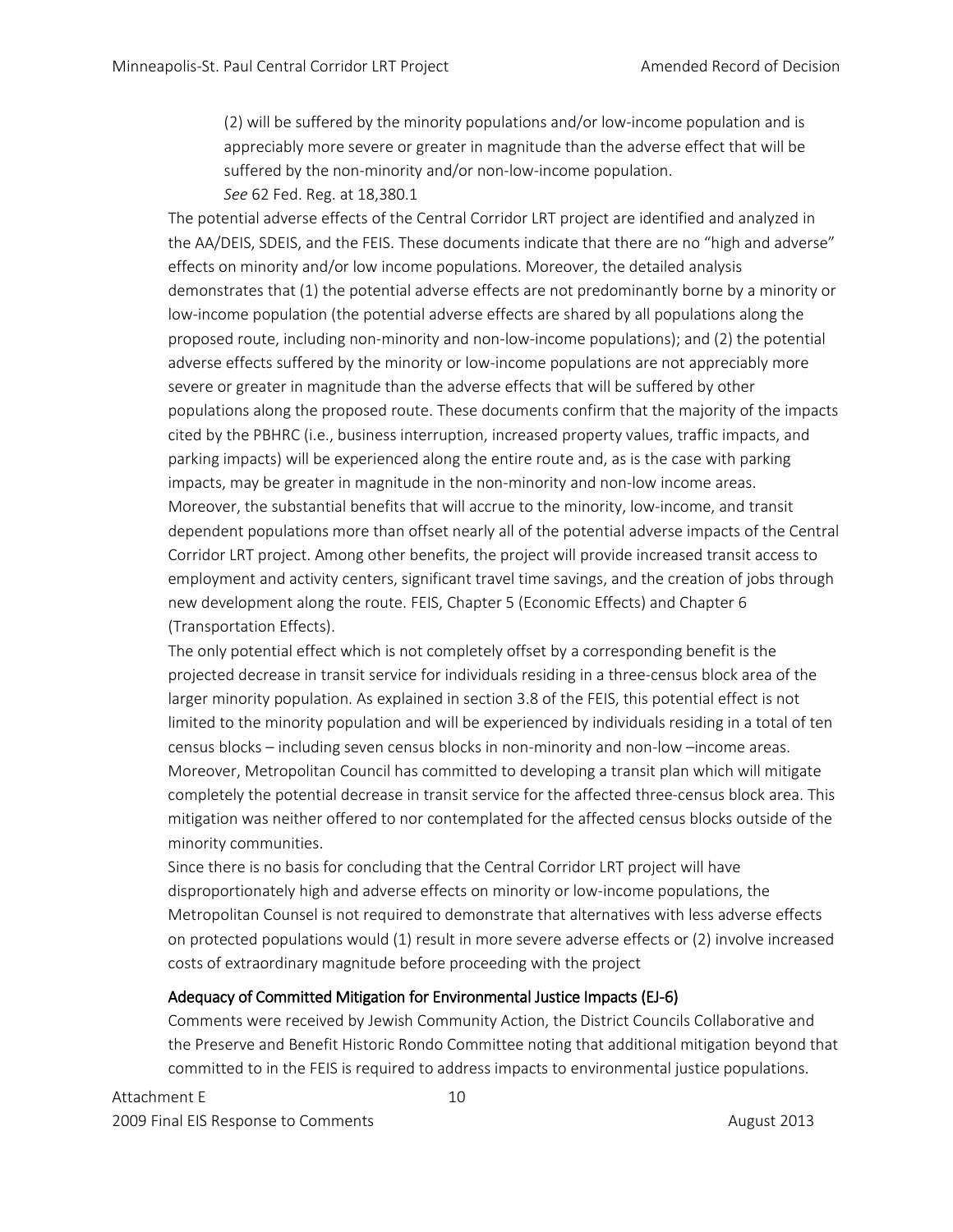(2) will be suffered by the minority populations and/or low-income population and is appreciably more severe or greater in magnitude than the adverse effect that will be suffered by the non-minority and/or non-low-income population. *See* 62 Fed. Reg. at 18,380.1

The potential adverse effects of the Central Corridor LRT project are identified and analyzed in the AA/DEIS, SDEIS, and the FEIS. These documents indicate that there are no "high and adverse" effects on minority and/or low income populations. Moreover, the detailed analysis demonstrates that (1) the potential adverse effects are not predominantly borne by a minority or low-income population (the potential adverse effects are shared by all populations along the proposed route, including non-minority and non-low-income populations); and (2) the potential adverse effects suffered by the minority or low-income populations are not appreciably more severe or greater in magnitude than the adverse effects that will be suffered by other populations along the proposed route. These documents confirm that the majority of the impacts cited by the PBHRC (i.e., business interruption, increased property values, traffic impacts, and parking impacts) will be experienced along the entire route and, as is the case with parking impacts, may be greater in magnitude in the non-minority and non-low income areas. Moreover, the substantial benefits that will accrue to the minority, low-income, and transit dependent populations more than offset nearly all of the potential adverse impacts of the Central Corridor LRT project. Among other benefits, the project will provide increased transit access to employment and activity centers, significant travel time savings, and the creation of jobs through new development along the route. FEIS, Chapter 5 (Economic Effects) and Chapter 6 (Transportation Effects).

The only potential effect which is not completely offset by a corresponding benefit is the projected decrease in transit service for individuals residing in a three-census block area of the larger minority population. As explained in section 3.8 of the FEIS, this potential effect is not limited to the minority population and will be experienced by individuals residing in a total of ten census blocks – including seven census blocks in non-minority and non-low –income areas. Moreover, Metropolitan Council has committed to developing a transit plan which will mitigate completely the potential decrease in transit service for the affected three-census block area. This mitigation was neither offered to nor contemplated for the affected census blocks outside of the minority communities.

Since there is no basis for concluding that the Central Corridor LRT project will have disproportionately high and adverse effects on minority or low-income populations, the Metropolitan Counsel is not required to demonstrate that alternatives with less adverse effects on protected populations would (1) result in more severe adverse effects or (2) involve increased costs of extraordinary magnitude before proceeding with the project

# Adequacy of Committed Mitigation for Environmental Justice Impacts (EJ-6)

Comments were received by Jewish Community Action, the District Councils Collaborative and the Preserve and Benefit Historic Rondo Committee noting that additional mitigation beyond that committed to in the FEIS is required to address impacts to environmental justice populations.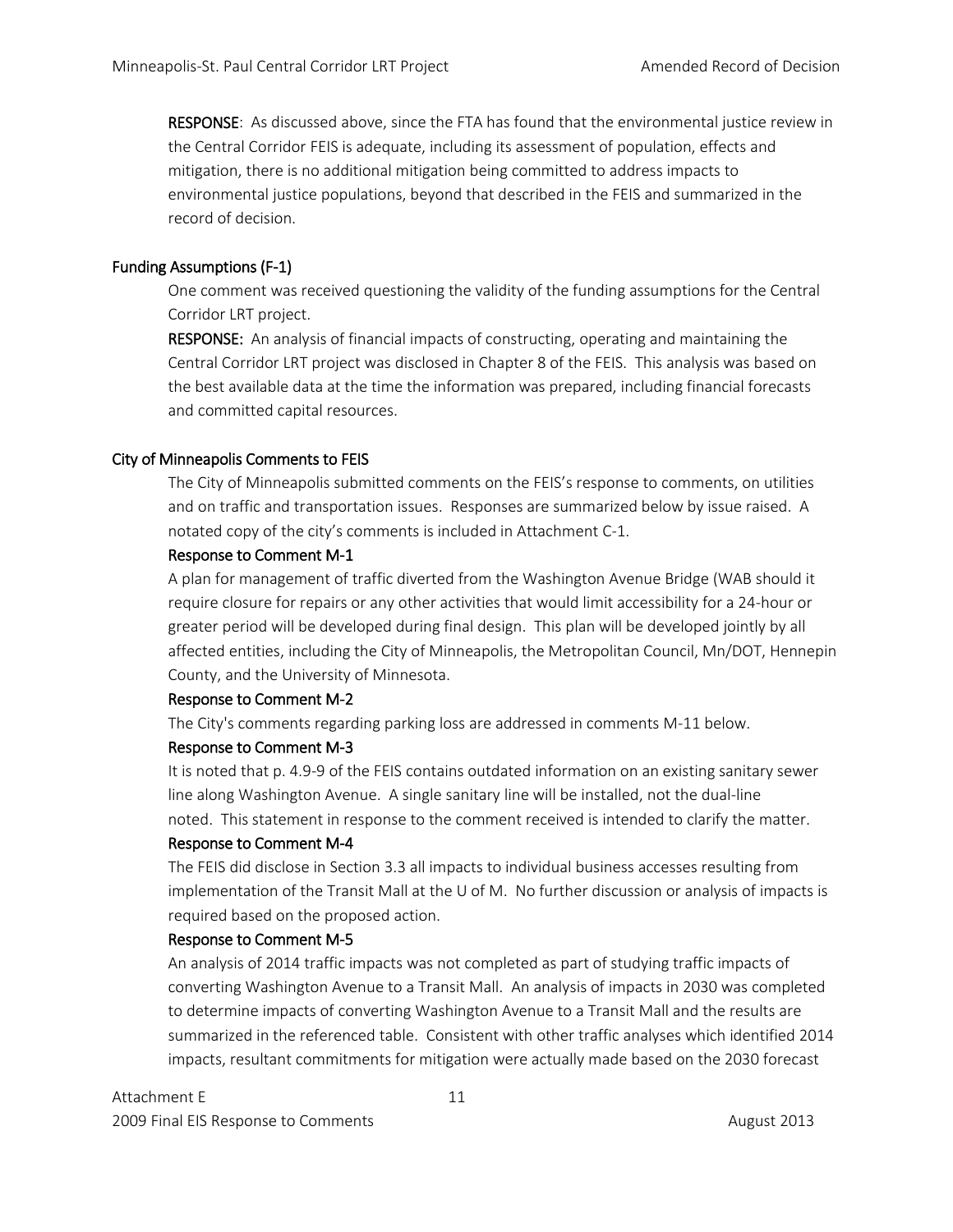RESPONSE: As discussed above, since the FTA has found that the environmental justice review in the Central Corridor FEIS is adequate, including its assessment of population, effects and mitigation, there is no additional mitigation being committed to address impacts to environmental justice populations, beyond that described in the FEIS and summarized in the record of decision.

# Funding Assumptions (F-1)

One comment was received questioning the validity of the funding assumptions for the Central Corridor LRT project.

RESPONSE: An analysis of financial impacts of constructing, operating and maintaining the Central Corridor LRT project was disclosed in Chapter 8 of the FEIS. This analysis was based on the best available data at the time the information was prepared, including financial forecasts and committed capital resources.

## City of Minneapolis Comments to FEIS

The City of Minneapolis submitted comments on the FEIS's response to comments, on utilities and on traffic and transportation issues. Responses are summarized below by issue raised. A notated copy of the city's comments is included in Attachment C-1.

## Response to Comment M-1

A plan for management of traffic diverted from the Washington Avenue Bridge (WAB should it require closure for repairs or any other activities that would limit accessibility for a 24-hour or greater period will be developed during final design. This plan will be developed jointly by all affected entities, including the City of Minneapolis, the Metropolitan Council, Mn/DOT, Hennepin County, and the University of Minnesota.

#### Response to Comment M-2

The City's comments regarding parking loss are addressed in comments M-11 below.

#### Response to Comment M-3

It is noted that p. 4.9-9 of the FEIS contains outdated information on an existing sanitary sewer line along Washington Avenue. A single sanitary line will be installed, not the dual-line noted. This statement in response to the comment received is intended to clarify the matter.

#### Response to Comment M-4

The FEIS did disclose in Section 3.3 all impacts to individual business accesses resulting from implementation of the Transit Mall at the U of M. No further discussion or analysis of impacts is required based on the proposed action.

#### Response to Comment M-5

An analysis of 2014 traffic impacts was not completed as part of studying traffic impacts of converting Washington Avenue to a Transit Mall. An analysis of impacts in 2030 was completed to determine impacts of converting Washington Avenue to a Transit Mall and the results are summarized in the referenced table. Consistent with other traffic analyses which identified 2014 impacts, resultant commitments for mitigation were actually made based on the 2030 forecast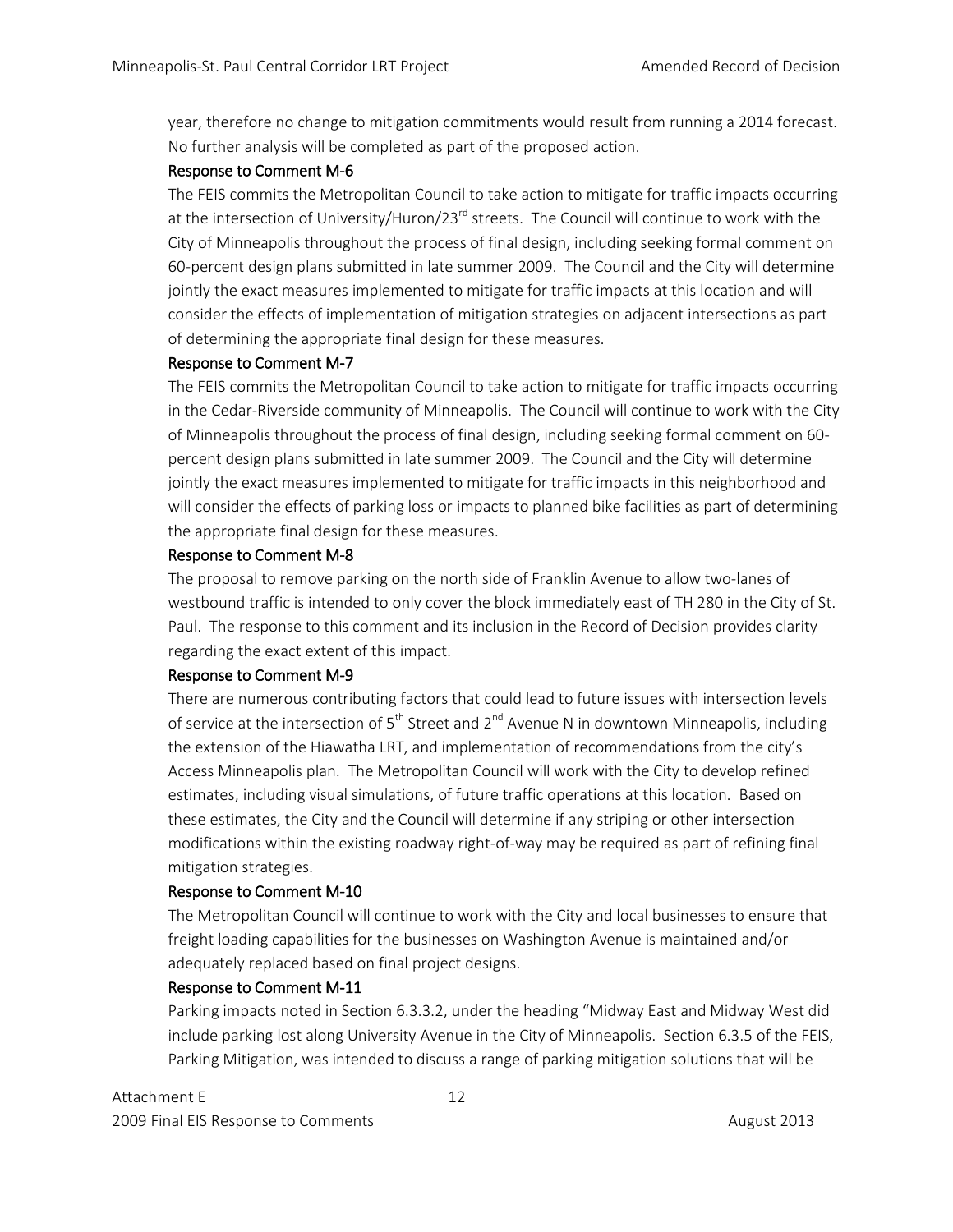year, therefore no change to mitigation commitments would result from running a 2014 forecast. No further analysis will be completed as part of the proposed action.

# Response to Comment M-6

The FEIS commits the Metropolitan Council to take action to mitigate for traffic impacts occurring at the intersection of University/Huron/23<sup>rd</sup> streets. The Council will continue to work with the City of Minneapolis throughout the process of final design, including seeking formal comment on 60-percent design plans submitted in late summer 2009. The Council and the City will determine jointly the exact measures implemented to mitigate for traffic impacts at this location and will consider the effects of implementation of mitigation strategies on adjacent intersections as part of determining the appropriate final design for these measures.

# Response to Comment M-7

The FEIS commits the Metropolitan Council to take action to mitigate for traffic impacts occurring in the Cedar-Riverside community of Minneapolis. The Council will continue to work with the City of Minneapolis throughout the process of final design, including seeking formal comment on 60 percent design plans submitted in late summer 2009. The Council and the City will determine jointly the exact measures implemented to mitigate for traffic impacts in this neighborhood and will consider the effects of parking loss or impacts to planned bike facilities as part of determining the appropriate final design for these measures.

# Response to Comment M-8

The proposal to remove parking on the north side of Franklin Avenue to allow two-lanes of westbound traffic is intended to only cover the block immediately east of TH 280 in the City of St. Paul. The response to this comment and its inclusion in the Record of Decision provides clarity regarding the exact extent of this impact.

# Response to Comment M-9

There are numerous contributing factors that could lead to future issues with intersection levels of service at the intersection of  $5<sup>th</sup>$  Street and 2<sup>nd</sup> Avenue N in downtown Minneapolis, including the extension of the Hiawatha LRT, and implementation of recommendations from the city's Access Minneapolis plan. The Metropolitan Council will work with the City to develop refined estimates, including visual simulations, of future traffic operations at this location. Based on these estimates, the City and the Council will determine if any striping or other intersection modifications within the existing roadway right-of-way may be required as part of refining final mitigation strategies.

# Response to Comment M-10

The Metropolitan Council will continue to work with the City and local businesses to ensure that freight loading capabilities for the businesses on Washington Avenue is maintained and/or adequately replaced based on final project designs.

# Response to Comment M-11

Parking impacts noted in Section 6.3.3.2, under the heading "Midway East and Midway West did include parking lost along University Avenue in the City of Minneapolis. Section 6.3.5 of the FEIS, Parking Mitigation, was intended to discuss a range of parking mitigation solutions that will be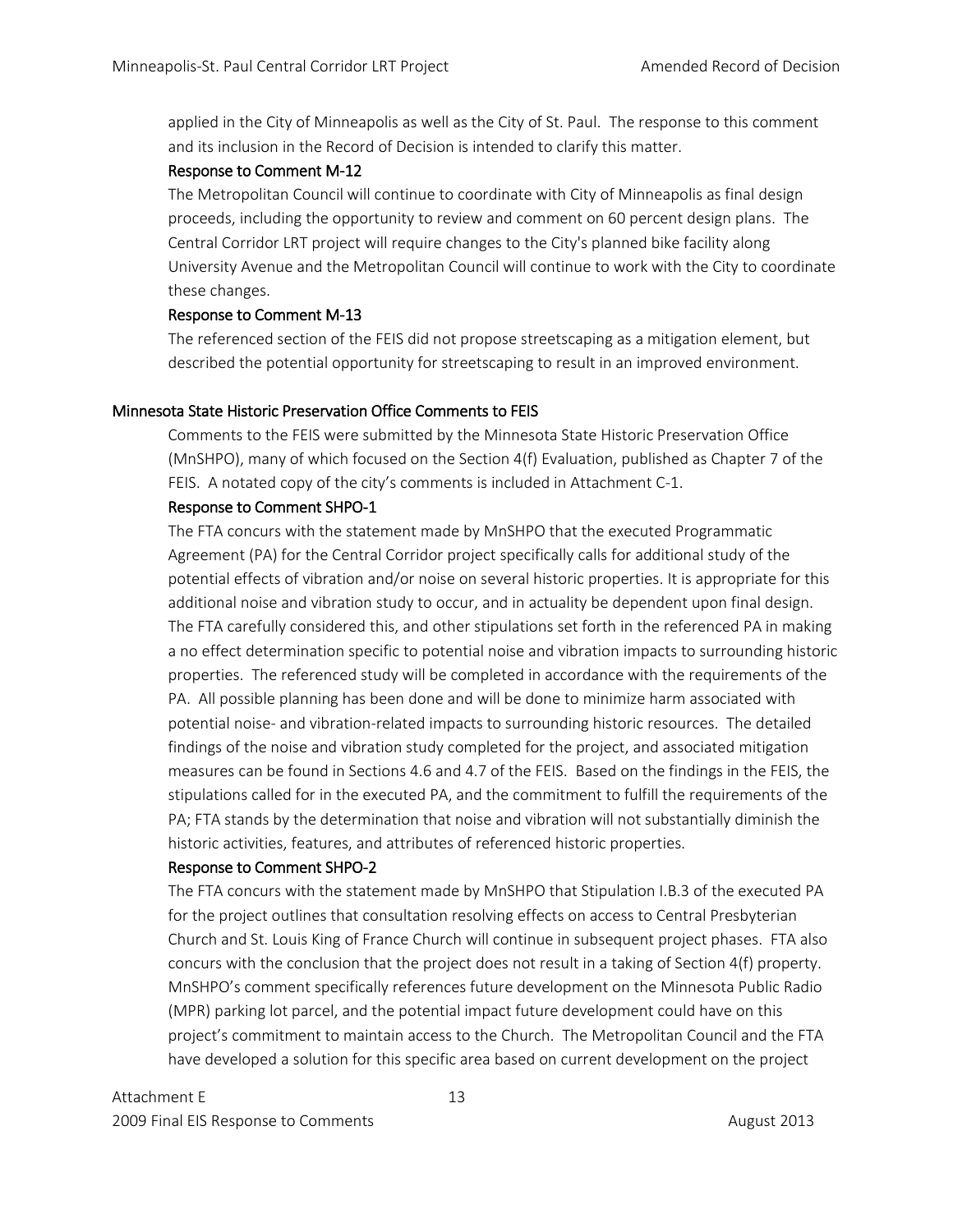applied in the City of Minneapolis as well as the City of St. Paul. The response to this comment and its inclusion in the Record of Decision is intended to clarify this matter.

## Response to Comment M-12

The Metropolitan Council will continue to coordinate with City of Minneapolis as final design proceeds, including the opportunity to review and comment on 60 percent design plans. The Central Corridor LRT project will require changes to the City's planned bike facility along University Avenue and the Metropolitan Council will continue to work with the City to coordinate these changes.

## Response to Comment M-13

The referenced section of the FEIS did not propose streetscaping as a mitigation element, but described the potential opportunity for streetscaping to result in an improved environment.

# Minnesota State Historic Preservation Office Comments to FEIS

Comments to the FEIS were submitted by the Minnesota State Historic Preservation Office (MnSHPO), many of which focused on the Section 4(f) Evaluation, published as Chapter 7 of the FEIS. A notated copy of the city's comments is included in Attachment C-1.

## Response to Comment SHPO-1

The FTA concurs with the statement made by MnSHPO that the executed Programmatic Agreement (PA) for the Central Corridor project specifically calls for additional study of the potential effects of vibration and/or noise on several historic properties. It is appropriate for this additional noise and vibration study to occur, and in actuality be dependent upon final design. The FTA carefully considered this, and other stipulations set forth in the referenced PA in making a no effect determination specific to potential noise and vibration impacts to surrounding historic properties. The referenced study will be completed in accordance with the requirements of the PA. All possible planning has been done and will be done to minimize harm associated with potential noise- and vibration-related impacts to surrounding historic resources. The detailed findings of the noise and vibration study completed for the project, and associated mitigation measures can be found in Sections 4.6 and 4.7 of the FEIS. Based on the findings in the FEIS, the stipulations called for in the executed PA, and the commitment to fulfill the requirements of the PA; FTA stands by the determination that noise and vibration will not substantially diminish the historic activities, features, and attributes of referenced historic properties.

#### Response to Comment SHPO-2

The FTA concurs with the statement made by MnSHPO that Stipulation I.B.3 of the executed PA for the project outlines that consultation resolving effects on access to Central Presbyterian Church and St. Louis King of France Church will continue in subsequent project phases. FTA also concurs with the conclusion that the project does not result in a taking of Section 4(f) property. MnSHPO's comment specifically references future development on the Minnesota Public Radio (MPR) parking lot parcel, and the potential impact future development could have on this project's commitment to maintain access to the Church. The Metropolitan Council and the FTA have developed a solution for this specific area based on current development on the project

Attachment E 13 2009 Final EIS Response to Comments **August 2013** August 2013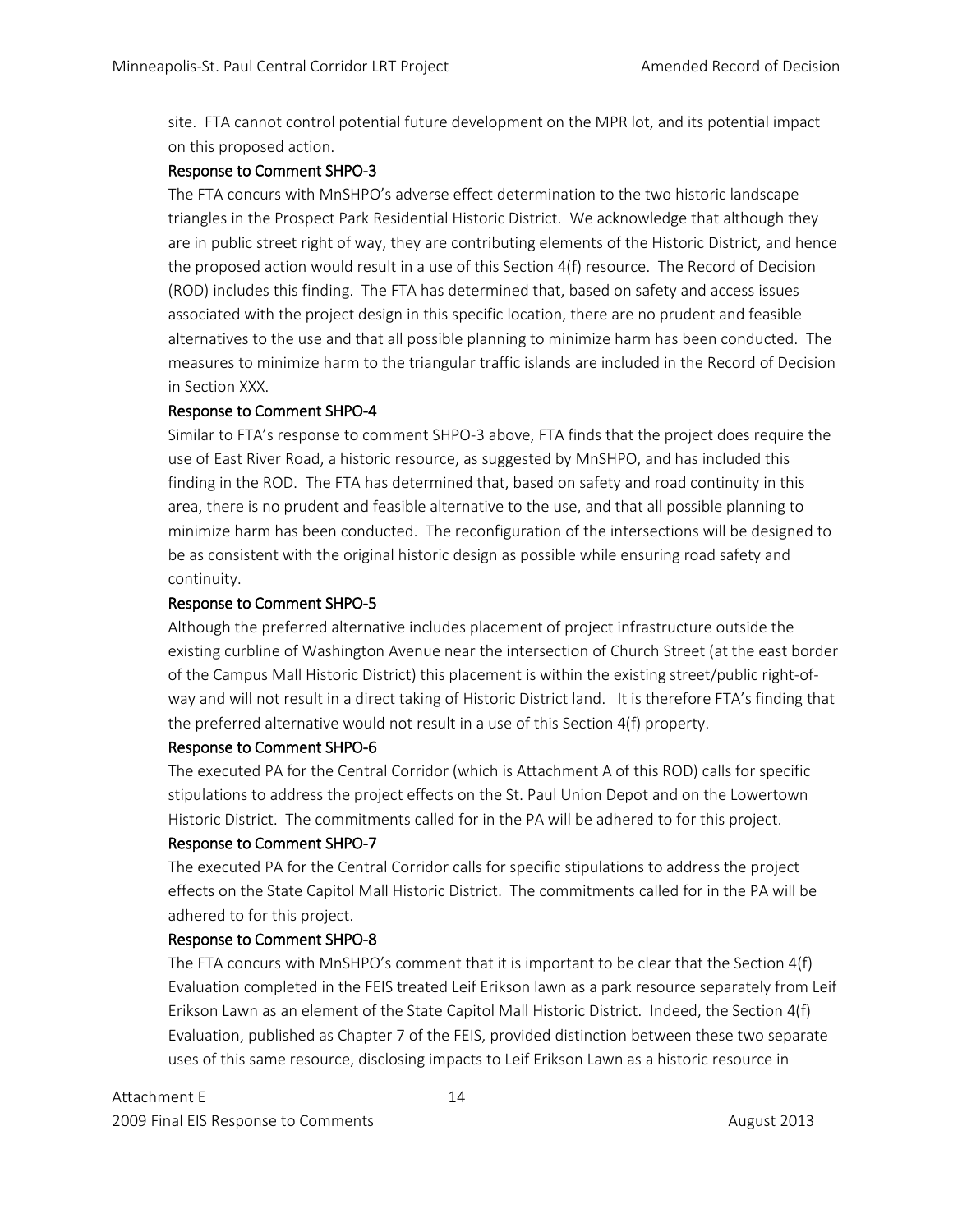site. FTA cannot control potential future development on the MPR lot, and its potential impact on this proposed action.

## Response to Comment SHPO-3

The FTA concurs with MnSHPO's adverse effect determination to the two historic landscape triangles in the Prospect Park Residential Historic District. We acknowledge that although they are in public street right of way, they are contributing elements of the Historic District, and hence the proposed action would result in a use of this Section 4(f) resource. The Record of Decision (ROD) includes this finding. The FTA has determined that, based on safety and access issues associated with the project design in this specific location, there are no prudent and feasible alternatives to the use and that all possible planning to minimize harm has been conducted. The measures to minimize harm to the triangular traffic islands are included in the Record of Decision in Section XXX.

# Response to Comment SHPO-4

Similar to FTA's response to comment SHPO-3 above, FTA finds that the project does require the use of East River Road, a historic resource, as suggested by MnSHPO, and has included this finding in the ROD. The FTA has determined that, based on safety and road continuity in this area, there is no prudent and feasible alternative to the use, and that all possible planning to minimize harm has been conducted. The reconfiguration of the intersections will be designed to be as consistent with the original historic design as possible while ensuring road safety and continuity.

## Response to Comment SHPO-5

Although the preferred alternative includes placement of project infrastructure outside the existing curbline of Washington Avenue near the intersection of Church Street (at the east border of the Campus Mall Historic District) this placement is within the existing street/public right-ofway and will not result in a direct taking of Historic District land. It is therefore FTA's finding that the preferred alternative would not result in a use of this Section 4(f) property.

#### Response to Comment SHPO-6

The executed PA for the Central Corridor (which is Attachment A of this ROD) calls for specific stipulations to address the project effects on the St. Paul Union Depot and on the Lowertown Historic District. The commitments called for in the PA will be adhered to for this project.

#### Response to Comment SHPO-7

The executed PA for the Central Corridor calls for specific stipulations to address the project effects on the State Capitol Mall Historic District. The commitments called for in the PA will be adhered to for this project.

#### Response to Comment SHPO-8

The FTA concurs with MnSHPO's comment that it is important to be clear that the Section 4(f) Evaluation completed in the FEIS treated Leif Erikson lawn as a park resource separately from Leif Erikson Lawn as an element of the State Capitol Mall Historic District. Indeed, the Section 4(f) Evaluation, published as Chapter 7 of the FEIS, provided distinction between these two separate uses of this same resource, disclosing impacts to Leif Erikson Lawn as a historic resource in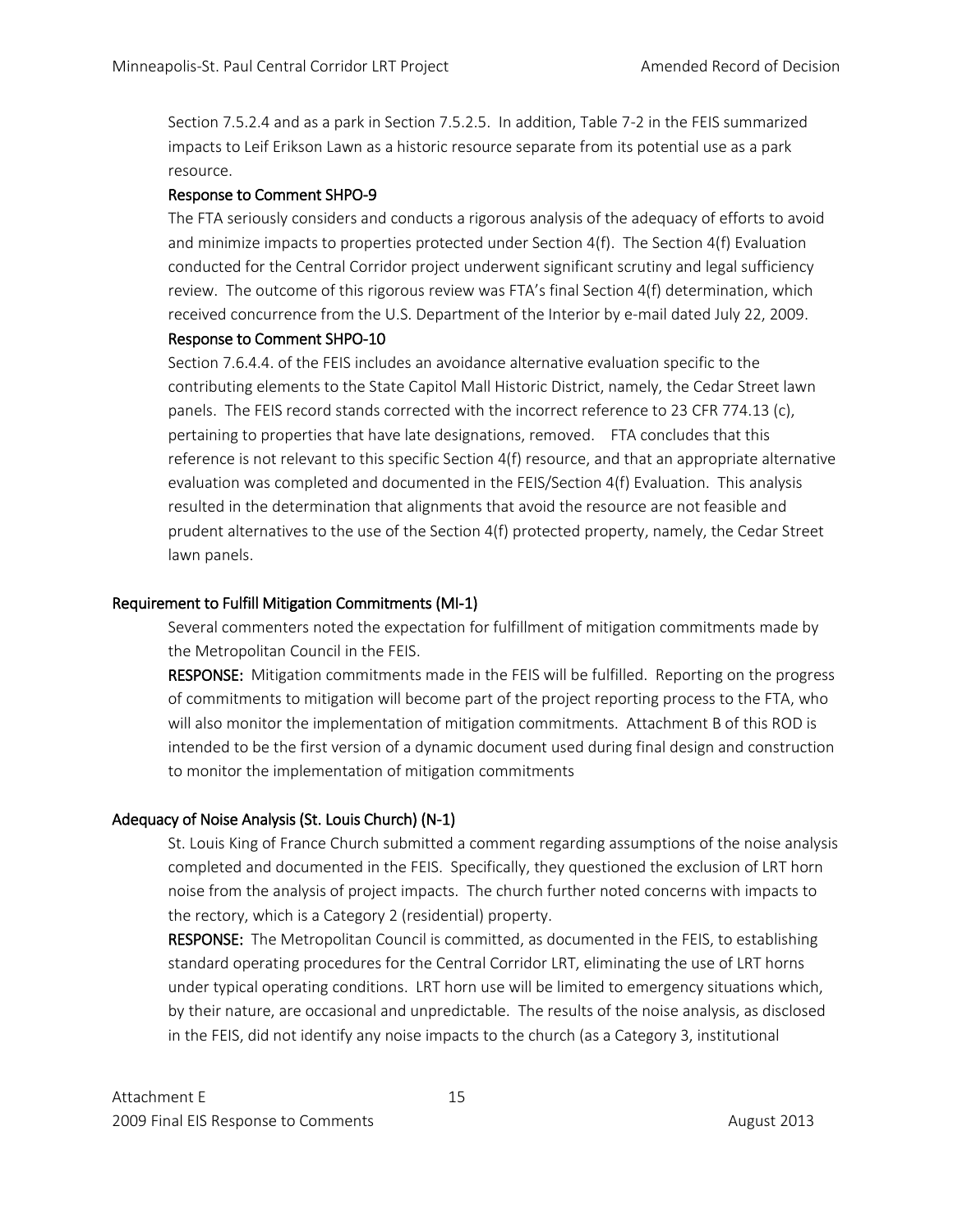Section 7.5.2.4 and as a park in Section 7.5.2.5. In addition, Table 7-2 in the FEIS summarized impacts to Leif Erikson Lawn as a historic resource separate from its potential use as a park resource.

# Response to Comment SHPO-9

The FTA seriously considers and conducts a rigorous analysis of the adequacy of efforts to avoid and minimize impacts to properties protected under Section 4(f). The Section 4(f) Evaluation conducted for the Central Corridor project underwent significant scrutiny and legal sufficiency review. The outcome of this rigorous review was FTA's final Section 4(f) determination, which received concurrence from the U.S. Department of the Interior by e-mail dated July 22, 2009.

# Response to Comment SHPO-10

Section 7.6.4.4. of the FEIS includes an avoidance alternative evaluation specific to the contributing elements to the State Capitol Mall Historic District, namely, the Cedar Street lawn panels. The FEIS record stands corrected with the incorrect reference to 23 CFR 774.13 (c), pertaining to properties that have late designations, removed. FTA concludes that this reference is not relevant to this specific Section 4(f) resource, and that an appropriate alternative evaluation was completed and documented in the FEIS/Section 4(f) Evaluation. This analysis resulted in the determination that alignments that avoid the resource are not feasible and prudent alternatives to the use of the Section 4(f) protected property, namely, the Cedar Street lawn panels.

# Requirement to Fulfill Mitigation Commitments (MI-1)

Several commenters noted the expectation for fulfillment of mitigation commitments made by the Metropolitan Council in the FEIS.

RESPONSE: Mitigation commitments made in the FEIS will be fulfilled. Reporting on the progress of commitments to mitigation will become part of the project reporting process to the FTA, who will also monitor the implementation of mitigation commitments. Attachment B of this ROD is intended to be the first version of a dynamic document used during final design and construction to monitor the implementation of mitigation commitments

# Adequacy of Noise Analysis (St. Louis Church) (N-1)

St. Louis King of France Church submitted a comment regarding assumptions of the noise analysis completed and documented in the FEIS. Specifically, they questioned the exclusion of LRT horn noise from the analysis of project impacts. The church further noted concerns with impacts to the rectory, which is a Category 2 (residential) property.

RESPONSE: The Metropolitan Council is committed, as documented in the FEIS, to establishing standard operating procedures for the Central Corridor LRT, eliminating the use of LRT horns under typical operating conditions. LRT horn use will be limited to emergency situations which, by their nature, are occasional and unpredictable. The results of the noise analysis, as disclosed in the FEIS, did not identify any noise impacts to the church (as a Category 3, institutional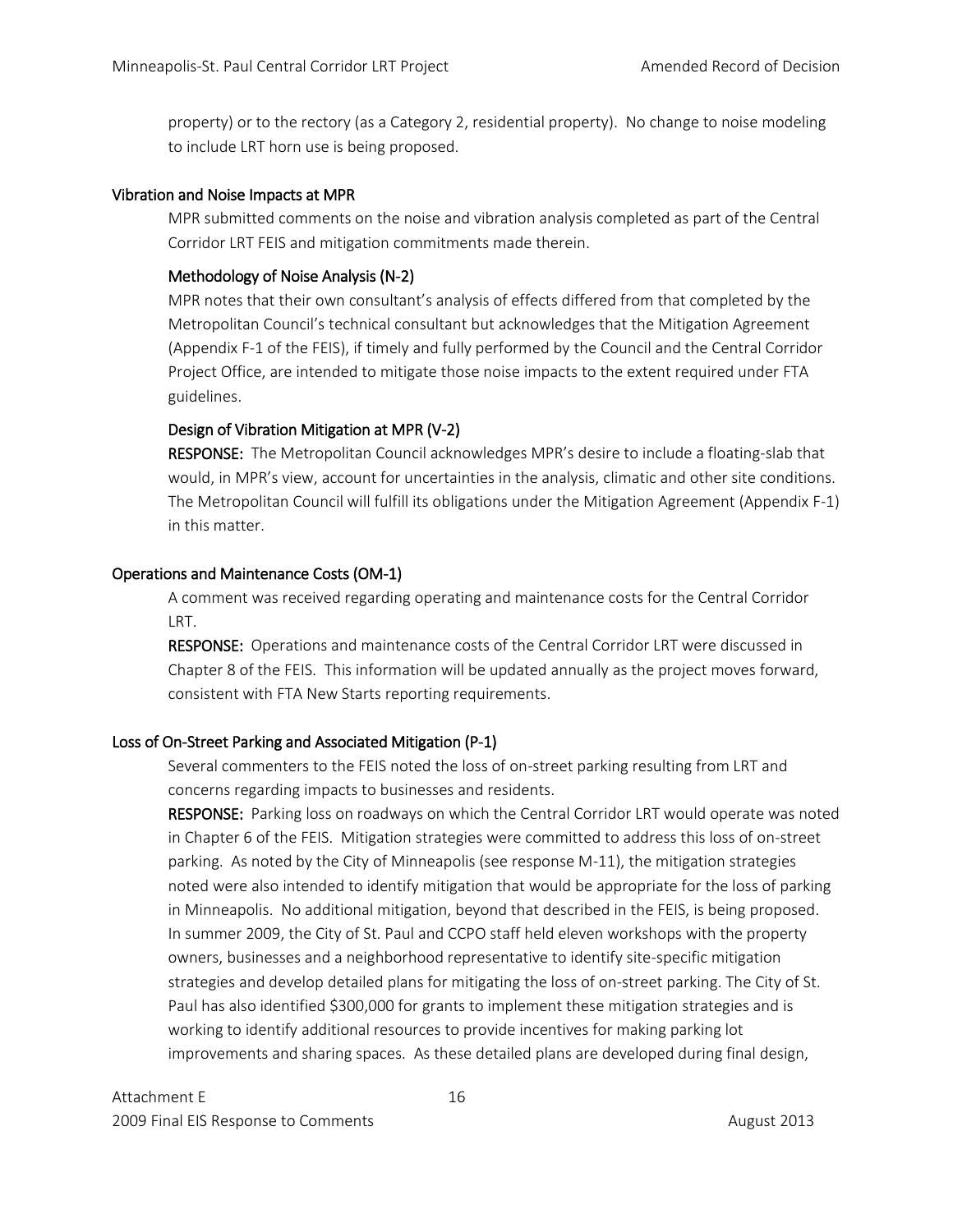property) or to the rectory (as a Category 2, residential property). No change to noise modeling to include LRT horn use is being proposed.

#### Vibration and Noise Impacts at MPR

MPR submitted comments on the noise and vibration analysis completed as part of the Central Corridor LRT FEIS and mitigation commitments made therein.

# Methodology of Noise Analysis (N-2)

MPR notes that their own consultant's analysis of effects differed from that completed by the Metropolitan Council's technical consultant but acknowledges that the Mitigation Agreement (Appendix F-1 of the FEIS), if timely and fully performed by the Council and the Central Corridor Project Office, are intended to mitigate those noise impacts to the extent required under FTA guidelines.

# Design of Vibration Mitigation at MPR (V-2)

RESPONSE: The Metropolitan Council acknowledges MPR's desire to include a floating-slab that would, in MPR's view, account for uncertainties in the analysis, climatic and other site conditions. The Metropolitan Council will fulfill its obligations under the Mitigation Agreement (Appendix F-1) in this matter.

# Operations and Maintenance Costs (OM-1)

A comment was received regarding operating and maintenance costs for the Central Corridor LRT.

RESPONSE: Operations and maintenance costs of the Central Corridor LRT were discussed in Chapter 8 of the FEIS. This information will be updated annually as the project moves forward, consistent with FTA New Starts reporting requirements.

# Loss of On-Street Parking and Associated Mitigation (P-1)

Several commenters to the FEIS noted the loss of on-street parking resulting from LRT and concerns regarding impacts to businesses and residents.

RESPONSE: Parking loss on roadways on which the Central Corridor LRT would operate was noted in Chapter 6 of the FEIS. Mitigation strategies were committed to address this loss of on-street parking. As noted by the City of Minneapolis (see response M-11), the mitigation strategies noted were also intended to identify mitigation that would be appropriate for the loss of parking in Minneapolis. No additional mitigation, beyond that described in the FEIS, is being proposed. In summer 2009, the City of St. Paul and CCPO staff held eleven workshops with the property owners, businesses and a neighborhood representative to identify site-specific mitigation strategies and develop detailed plans for mitigating the loss of on-street parking. The City of St. Paul has also identified \$300,000 for grants to implement these mitigation strategies and is working to identify additional resources to provide incentives for making parking lot improvements and sharing spaces. As these detailed plans are developed during final design,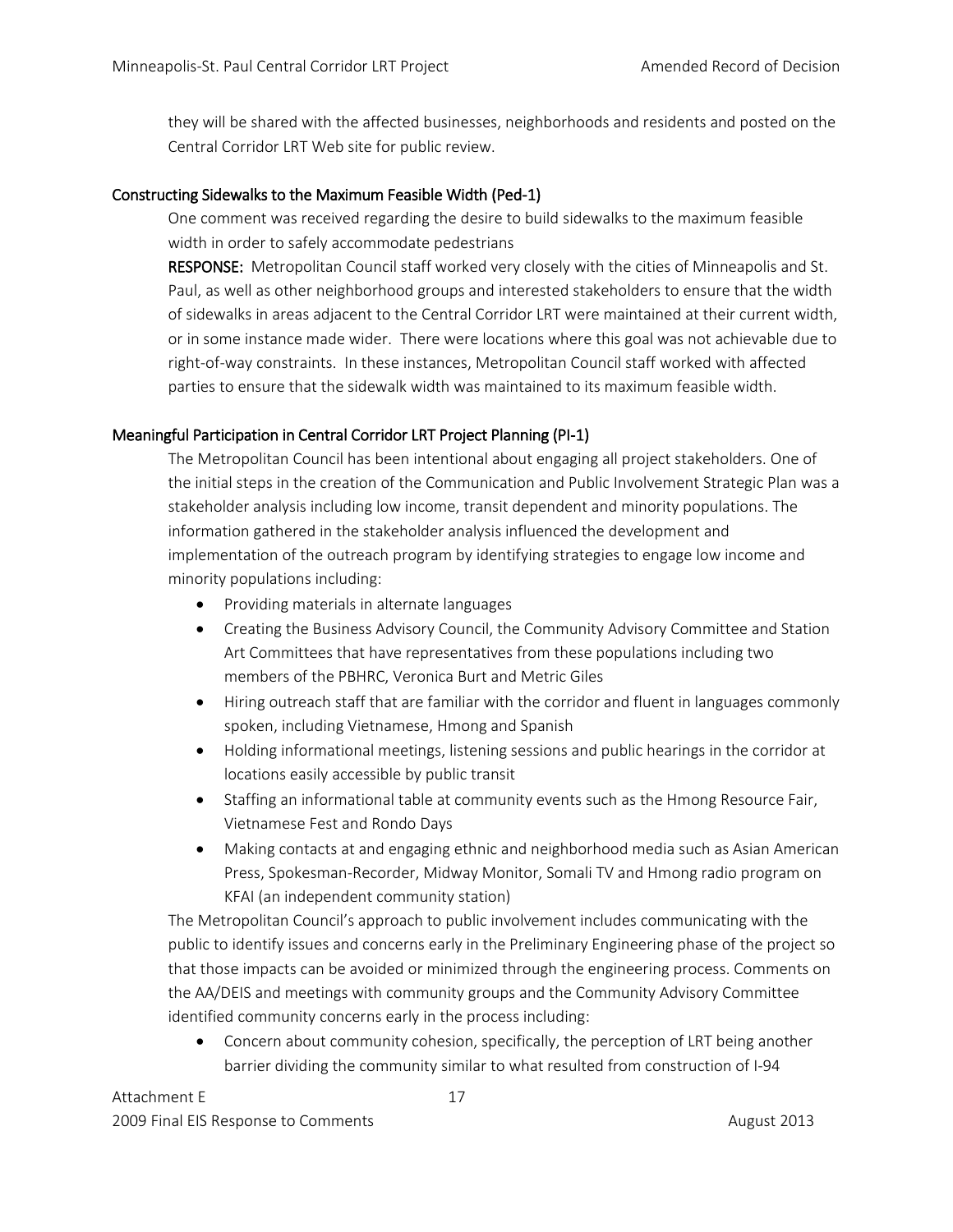they will be shared with the affected businesses, neighborhoods and residents and posted on the Central Corridor LRT Web site for public review.

# Constructing Sidewalks to the Maximum Feasible Width (Ped-1)

One comment was received regarding the desire to build sidewalks to the maximum feasible width in order to safely accommodate pedestrians

RESPONSE: Metropolitan Council staff worked very closely with the cities of Minneapolis and St. Paul, as well as other neighborhood groups and interested stakeholders to ensure that the width of sidewalks in areas adjacent to the Central Corridor LRT were maintained at their current width, or in some instance made wider. There were locations where this goal was not achievable due to right-of-way constraints. In these instances, Metropolitan Council staff worked with affected parties to ensure that the sidewalk width was maintained to its maximum feasible width.

# Meaningful Participation in Central Corridor LRT Project Planning (PI-1)

The Metropolitan Council has been intentional about engaging all project stakeholders. One of the initial steps in the creation of the Communication and Public Involvement Strategic Plan was a stakeholder analysis including low income, transit dependent and minority populations. The information gathered in the stakeholder analysis influenced the development and implementation of the outreach program by identifying strategies to engage low income and minority populations including:

- Providing materials in alternate languages
- Creating the Business Advisory Council, the Community Advisory Committee and Station Art Committees that have representatives from these populations including two members of the PBHRC, Veronica Burt and Metric Giles
- Hiring outreach staff that are familiar with the corridor and fluent in languages commonly spoken, including Vietnamese, Hmong and Spanish
- Holding informational meetings, listening sessions and public hearings in the corridor at locations easily accessible by public transit
- Staffing an informational table at community events such as the Hmong Resource Fair, Vietnamese Fest and Rondo Days
- Making contacts at and engaging ethnic and neighborhood media such as Asian American Press, Spokesman-Recorder, Midway Monitor, Somali TV and Hmong radio program on KFAI (an independent community station)

The Metropolitan Council's approach to public involvement includes communicating with the public to identify issues and concerns early in the Preliminary Engineering phase of the project so that those impacts can be avoided or minimized through the engineering process. Comments on the AA/DEIS and meetings with community groups and the Community Advisory Committee identified community concerns early in the process including:

• Concern about community cohesion, specifically, the perception of LRT being another barrier dividing the community similar to what resulted from construction of I-94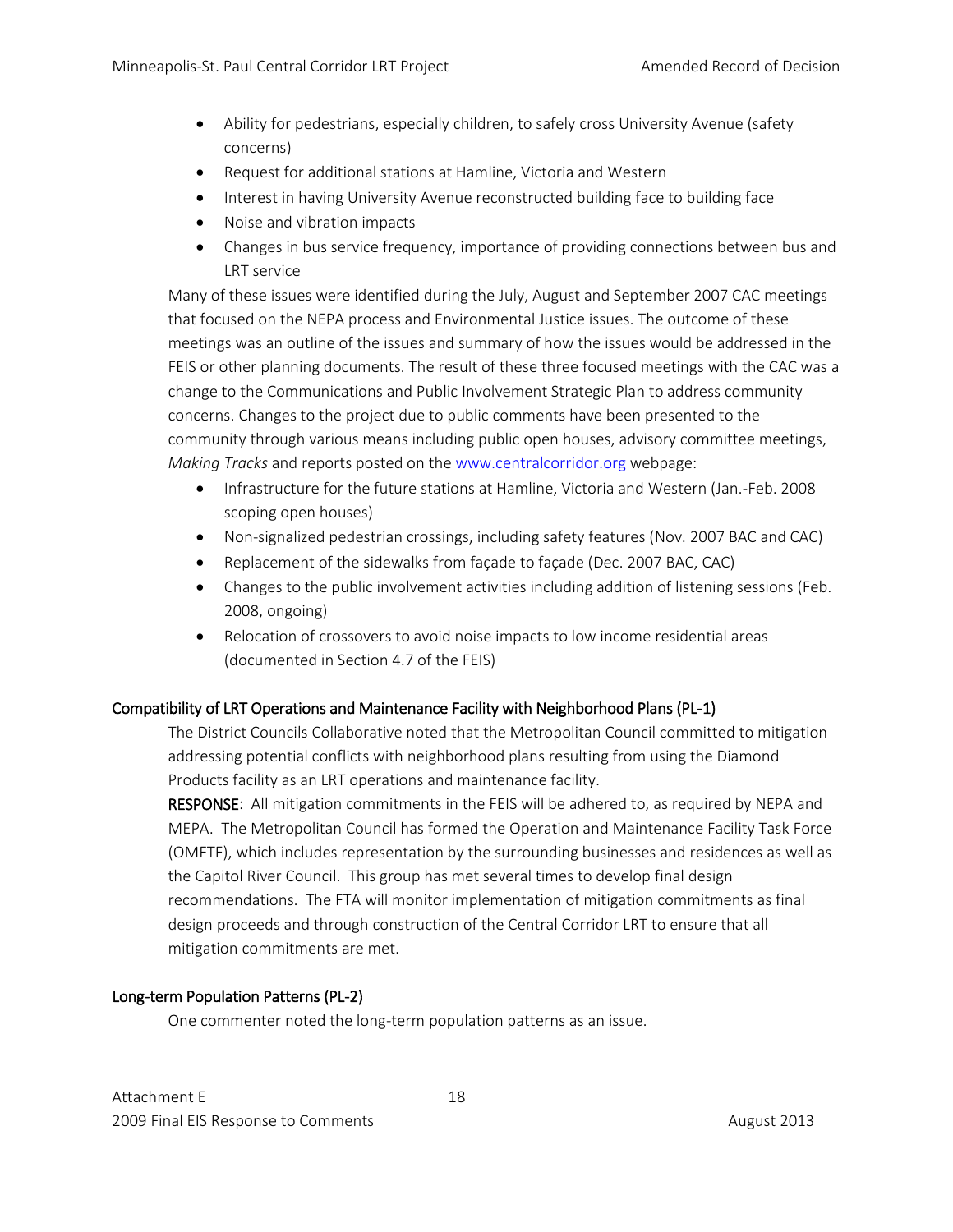- Ability for pedestrians, especially children, to safely cross University Avenue (safety concerns)
- Request for additional stations at Hamline, Victoria and Western
- Interest in having University Avenue reconstructed building face to building face
- Noise and vibration impacts
- Changes in bus service frequency, importance of providing connections between bus and LRT service

Many of these issues were identified during the July, August and September 2007 CAC meetings that focused on the NEPA process and Environmental Justice issues. The outcome of these meetings was an outline of the issues and summary of how the issues would be addressed in the FEIS or other planning documents. The result of these three focused meetings with the CAC was a change to the Communications and Public Involvement Strategic Plan to address community concerns. Changes to the project due to public comments have been presented to the community through various means including public open houses, advisory committee meetings, *Making Tracks* and reports posted on the www.centralcorridor.org webpage:

- Infrastructure for the future stations at Hamline, Victoria and Western (Jan.-Feb. 2008 scoping open houses)
- Non-signalized pedestrian crossings, including safety features (Nov. 2007 BAC and CAC)
- Replacement of the sidewalks from façade to façade (Dec. 2007 BAC, CAC)
- Changes to the public involvement activities including addition of listening sessions (Feb. 2008, ongoing)
- Relocation of crossovers to avoid noise impacts to low income residential areas (documented in Section 4.7 of the FEIS)

# Compatibility of LRT Operations and Maintenance Facility with Neighborhood Plans (PL-1)

The District Councils Collaborative noted that the Metropolitan Council committed to mitigation addressing potential conflicts with neighborhood plans resulting from using the Diamond Products facility as an LRT operations and maintenance facility.

RESPONSE: All mitigation commitments in the FEIS will be adhered to, as required by NEPA and MEPA. The Metropolitan Council has formed the Operation and Maintenance Facility Task Force (OMFTF), which includes representation by the surrounding businesses and residences as well as the Capitol River Council. This group has met several times to develop final design recommendations. The FTA will monitor implementation of mitigation commitments as final design proceeds and through construction of the Central Corridor LRT to ensure that all mitigation commitments are met.

# Long-term Population Patterns (PL-2)

One commenter noted the long-term population patterns as an issue.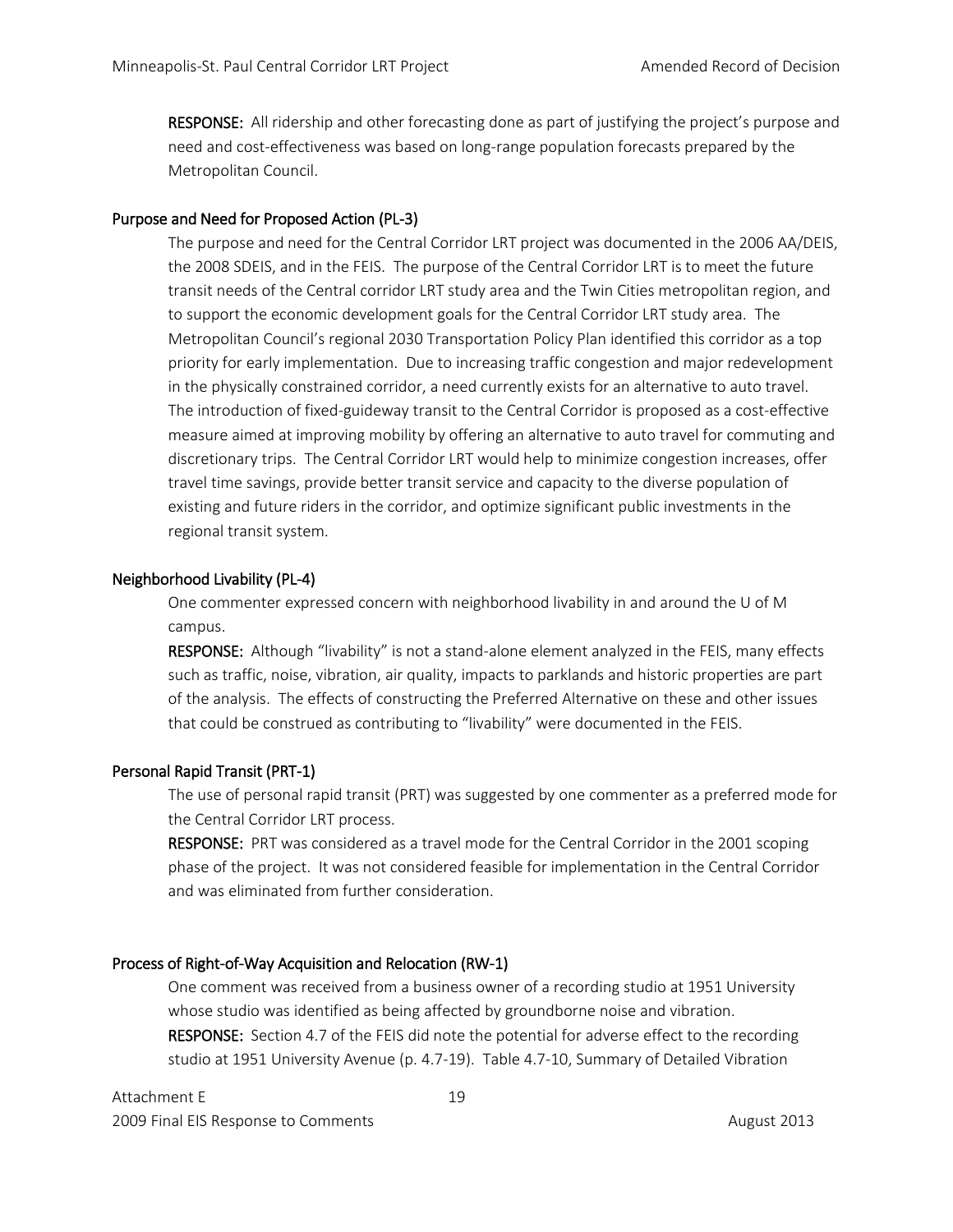RESPONSE: All ridership and other forecasting done as part of justifying the project's purpose and need and cost-effectiveness was based on long-range population forecasts prepared by the Metropolitan Council.

# Purpose and Need for Proposed Action (PL-3)

The purpose and need for the Central Corridor LRT project was documented in the 2006 AA/DEIS, the 2008 SDEIS, and in the FEIS. The purpose of the Central Corridor LRT is to meet the future transit needs of the Central corridor LRT study area and the Twin Cities metropolitan region, and to support the economic development goals for the Central Corridor LRT study area. The Metropolitan Council's regional 2030 Transportation Policy Plan identified this corridor as a top priority for early implementation. Due to increasing traffic congestion and major redevelopment in the physically constrained corridor, a need currently exists for an alternative to auto travel. The introduction of fixed-guideway transit to the Central Corridor is proposed as a cost-effective measure aimed at improving mobility by offering an alternative to auto travel for commuting and discretionary trips. The Central Corridor LRT would help to minimize congestion increases, offer travel time savings, provide better transit service and capacity to the diverse population of existing and future riders in the corridor, and optimize significant public investments in the regional transit system.

# Neighborhood Livability (PL-4)

One commenter expressed concern with neighborhood livability in and around the U of M campus.

RESPONSE: Although "livability" is not a stand-alone element analyzed in the FEIS, many effects such as traffic, noise, vibration, air quality, impacts to parklands and historic properties are part of the analysis. The effects of constructing the Preferred Alternative on these and other issues that could be construed as contributing to "livability" were documented in the FEIS.

# Personal Rapid Transit (PRT-1)

The use of personal rapid transit (PRT) was suggested by one commenter as a preferred mode for the Central Corridor LRT process.

RESPONSE: PRT was considered as a travel mode for the Central Corridor in the 2001 scoping phase of the project. It was not considered feasible for implementation in the Central Corridor and was eliminated from further consideration.

# Process of Right-of-Way Acquisition and Relocation (RW-1)

One comment was received from a business owner of a recording studio at 1951 University whose studio was identified as being affected by groundborne noise and vibration. RESPONSE: Section 4.7 of the FEIS did note the potential for adverse effect to the recording studio at 1951 University Avenue (p. 4.7-19). Table 4.7-10, Summary of Detailed Vibration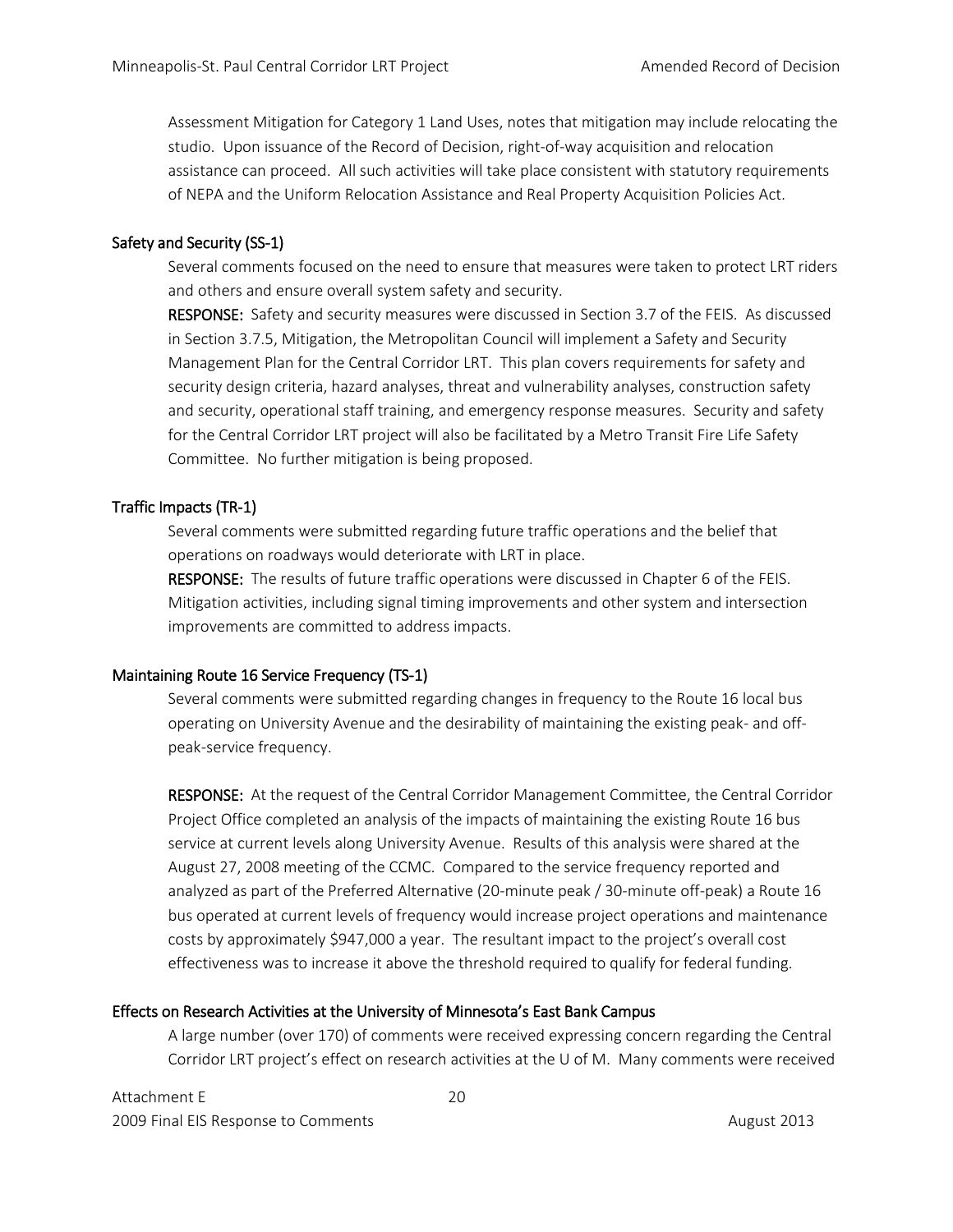Assessment Mitigation for Category 1 Land Uses, notes that mitigation may include relocating the studio. Upon issuance of the Record of Decision, right-of-way acquisition and relocation assistance can proceed. All such activities will take place consistent with statutory requirements of NEPA and the Uniform Relocation Assistance and Real Property Acquisition Policies Act.

## Safety and Security (SS-1)

Several comments focused on the need to ensure that measures were taken to protect LRT riders and others and ensure overall system safety and security.

RESPONSE: Safety and security measures were discussed in Section 3.7 of the FEIS. As discussed in Section 3.7.5, Mitigation, the Metropolitan Council will implement a Safety and Security Management Plan for the Central Corridor LRT. This plan covers requirements for safety and security design criteria, hazard analyses, threat and vulnerability analyses, construction safety and security, operational staff training, and emergency response measures. Security and safety for the Central Corridor LRT project will also be facilitated by a Metro Transit Fire Life Safety Committee. No further mitigation is being proposed.

# Traffic Impacts (TR-1)

Several comments were submitted regarding future traffic operations and the belief that operations on roadways would deteriorate with LRT in place.

RESPONSE: The results of future traffic operations were discussed in Chapter 6 of the FEIS. Mitigation activities, including signal timing improvements and other system and intersection improvements are committed to address impacts.

# Maintaining Route 16 Service Frequency (TS-1)

Several comments were submitted regarding changes in frequency to the Route 16 local bus operating on University Avenue and the desirability of maintaining the existing peak- and offpeak-service frequency.

RESPONSE: At the request of the Central Corridor Management Committee, the Central Corridor Project Office completed an analysis of the impacts of maintaining the existing Route 16 bus service at current levels along University Avenue. Results of this analysis were shared at the August 27, 2008 meeting of the CCMC. Compared to the service frequency reported and analyzed as part of the Preferred Alternative (20-minute peak / 30-minute off-peak) a Route 16 bus operated at current levels of frequency would increase project operations and maintenance costs by approximately \$947,000 a year. The resultant impact to the project's overall cost effectiveness was to increase it above the threshold required to qualify for federal funding.

# Effects on Research Activities at the University of Minnesota's East Bank Campus

A large number (over 170) of comments were received expressing concern regarding the Central Corridor LRT project's effect on research activities at the U of M. Many comments were received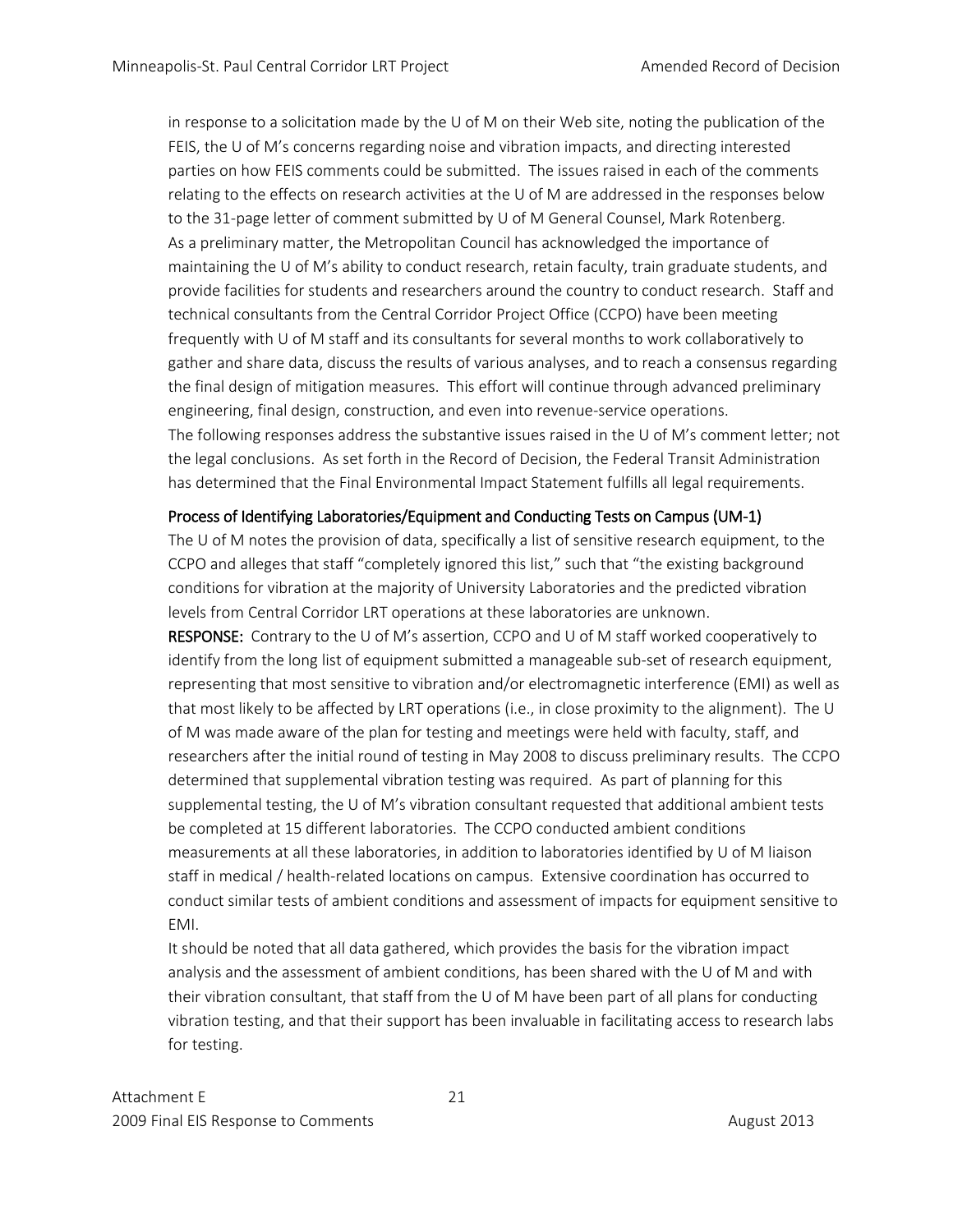in response to a solicitation made by the U of M on their Web site, noting the publication of the FEIS, the U of M's concerns regarding noise and vibration impacts, and directing interested parties on how FEIS comments could be submitted. The issues raised in each of the comments relating to the effects on research activities at the U of M are addressed in the responses below to the 31-page letter of comment submitted by U of M General Counsel, Mark Rotenberg. As a preliminary matter, the Metropolitan Council has acknowledged the importance of maintaining the U of M's ability to conduct research, retain faculty, train graduate students, and provide facilities for students and researchers around the country to conduct research. Staff and technical consultants from the Central Corridor Project Office (CCPO) have been meeting frequently with U of M staff and its consultants for several months to work collaboratively to gather and share data, discuss the results of various analyses, and to reach a consensus regarding the final design of mitigation measures. This effort will continue through advanced preliminary engineering, final design, construction, and even into revenue-service operations. The following responses address the substantive issues raised in the U of M's comment letter; not the legal conclusions. As set forth in the Record of Decision, the Federal Transit Administration has determined that the Final Environmental Impact Statement fulfills all legal requirements.

# Process of Identifying Laboratories/Equipment and Conducting Tests on Campus (UM-1)

The U of M notes the provision of data, specifically a list of sensitive research equipment, to the CCPO and alleges that staff "completely ignored this list," such that "the existing background conditions for vibration at the majority of University Laboratories and the predicted vibration levels from Central Corridor LRT operations at these laboratories are unknown.

RESPONSE: Contrary to the U of M's assertion, CCPO and U of M staff worked cooperatively to identify from the long list of equipment submitted a manageable sub-set of research equipment, representing that most sensitive to vibration and/or electromagnetic interference (EMI) as well as that most likely to be affected by LRT operations (i.e., in close proximity to the alignment). The U of M was made aware of the plan for testing and meetings were held with faculty, staff, and researchers after the initial round of testing in May 2008 to discuss preliminary results. The CCPO determined that supplemental vibration testing was required. As part of planning for this supplemental testing, the U of M's vibration consultant requested that additional ambient tests be completed at 15 different laboratories. The CCPO conducted ambient conditions measurements at all these laboratories, in addition to laboratories identified by U of M liaison staff in medical / health-related locations on campus. Extensive coordination has occurred to conduct similar tests of ambient conditions and assessment of impacts for equipment sensitive to EMI.

It should be noted that all data gathered, which provides the basis for the vibration impact analysis and the assessment of ambient conditions, has been shared with the U of M and with their vibration consultant, that staff from the U of M have been part of all plans for conducting vibration testing, and that their support has been invaluable in facilitating access to research labs for testing.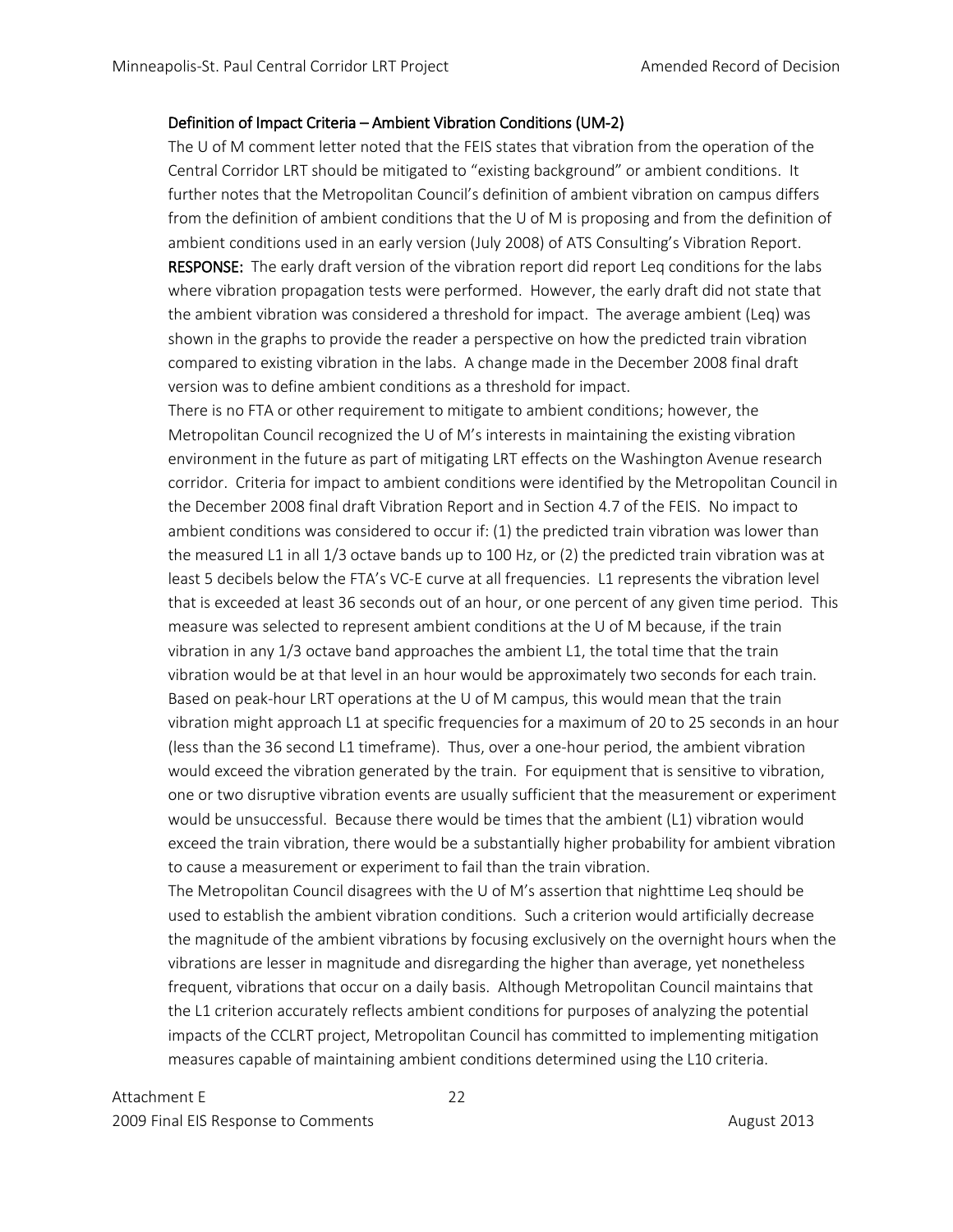## Definition of Impact Criteria – Ambient Vibration Conditions (UM-2)

The U of M comment letter noted that the FEIS states that vibration from the operation of the Central Corridor LRT should be mitigated to "existing background" or ambient conditions. It further notes that the Metropolitan Council's definition of ambient vibration on campus differs from the definition of ambient conditions that the U of M is proposing and from the definition of ambient conditions used in an early version (July 2008) of ATS Consulting's Vibration Report. RESPONSE: The early draft version of the vibration report did report Leq conditions for the labs where vibration propagation tests were performed. However, the early draft did not state that the ambient vibration was considered a threshold for impact. The average ambient (Leq) was shown in the graphs to provide the reader a perspective on how the predicted train vibration compared to existing vibration in the labs. A change made in the December 2008 final draft version was to define ambient conditions as a threshold for impact.

There is no FTA or other requirement to mitigate to ambient conditions; however, the Metropolitan Council recognized the U of M's interests in maintaining the existing vibration environment in the future as part of mitigating LRT effects on the Washington Avenue research corridor. Criteria for impact to ambient conditions were identified by the Metropolitan Council in the December 2008 final draft Vibration Report and in Section 4.7 of the FEIS. No impact to ambient conditions was considered to occur if: (1) the predicted train vibration was lower than the measured L1 in all 1/3 octave bands up to 100 Hz, or (2) the predicted train vibration was at least 5 decibels below the FTA's VC-E curve at all frequencies. L1 represents the vibration level that is exceeded at least 36 seconds out of an hour, or one percent of any given time period. This measure was selected to represent ambient conditions at the U of M because, if the train vibration in any 1/3 octave band approaches the ambient L1, the total time that the train vibration would be at that level in an hour would be approximately two seconds for each train. Based on peak-hour LRT operations at the U of M campus, this would mean that the train vibration might approach L1 at specific frequencies for a maximum of 20 to 25 seconds in an hour (less than the 36 second L1 timeframe). Thus, over a one-hour period, the ambient vibration would exceed the vibration generated by the train. For equipment that is sensitive to vibration, one or two disruptive vibration events are usually sufficient that the measurement or experiment would be unsuccessful. Because there would be times that the ambient (L1) vibration would exceed the train vibration, there would be a substantially higher probability for ambient vibration to cause a measurement or experiment to fail than the train vibration.

The Metropolitan Council disagrees with the U of M's assertion that nighttime Leq should be used to establish the ambient vibration conditions. Such a criterion would artificially decrease the magnitude of the ambient vibrations by focusing exclusively on the overnight hours when the vibrations are lesser in magnitude and disregarding the higher than average, yet nonetheless frequent, vibrations that occur on a daily basis. Although Metropolitan Council maintains that the L1 criterion accurately reflects ambient conditions for purposes of analyzing the potential impacts of the CCLRT project, Metropolitan Council has committed to implementing mitigation measures capable of maintaining ambient conditions determined using the L10 criteria.

Attachment E 22 2009 Final EIS Response to Comments **August 2013** August 2013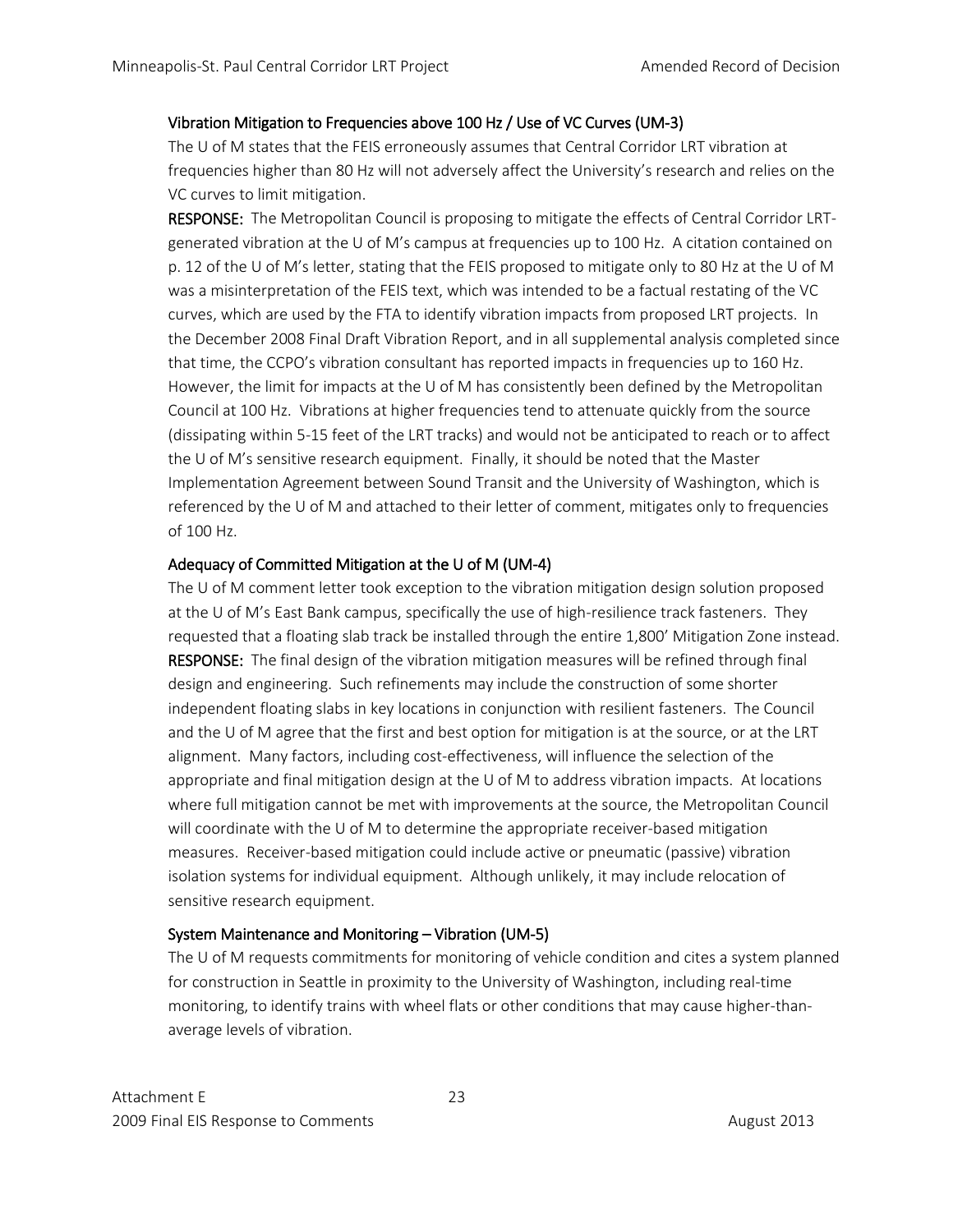# Vibration Mitigation to Frequencies above 100 Hz / Use of VC Curves (UM-3)

The U of M states that the FEIS erroneously assumes that Central Corridor LRT vibration at frequencies higher than 80 Hz will not adversely affect the University's research and relies on the VC curves to limit mitigation.

RESPONSE: The Metropolitan Council is proposing to mitigate the effects of Central Corridor LRTgenerated vibration at the U of M's campus at frequencies up to 100 Hz. A citation contained on p. 12 of the U of M's letter, stating that the FEIS proposed to mitigate only to 80 Hz at the U of M was a misinterpretation of the FEIS text, which was intended to be a factual restating of the VC curves, which are used by the FTA to identify vibration impacts from proposed LRT projects. In the December 2008 Final Draft Vibration Report, and in all supplemental analysis completed since that time, the CCPO's vibration consultant has reported impacts in frequencies up to 160 Hz. However, the limit for impacts at the U of M has consistently been defined by the Metropolitan Council at 100 Hz. Vibrations at higher frequencies tend to attenuate quickly from the source (dissipating within 5-15 feet of the LRT tracks) and would not be anticipated to reach or to affect the U of M's sensitive research equipment. Finally, it should be noted that the Master Implementation Agreement between Sound Transit and the University of Washington, which is referenced by the U of M and attached to their letter of comment, mitigates only to frequencies of 100 Hz.

# Adequacy of Committed Mitigation at the U of M (UM-4)

The U of M comment letter took exception to the vibration mitigation design solution proposed at the U of M's East Bank campus, specifically the use of high-resilience track fasteners. They requested that a floating slab track be installed through the entire 1,800' Mitigation Zone instead. RESPONSE: The final design of the vibration mitigation measures will be refined through final design and engineering. Such refinements may include the construction of some shorter independent floating slabs in key locations in conjunction with resilient fasteners. The Council and the U of M agree that the first and best option for mitigation is at the source, or at the LRT alignment. Many factors, including cost-effectiveness, will influence the selection of the appropriate and final mitigation design at the U of M to address vibration impacts. At locations where full mitigation cannot be met with improvements at the source, the Metropolitan Council will coordinate with the U of M to determine the appropriate receiver-based mitigation measures. Receiver-based mitigation could include active or pneumatic (passive) vibration isolation systems for individual equipment. Although unlikely, it may include relocation of sensitive research equipment.

# System Maintenance and Monitoring – Vibration (UM-5)

The U of M requests commitments for monitoring of vehicle condition and cites a system planned for construction in Seattle in proximity to the University of Washington, including real-time monitoring, to identify trains with wheel flats or other conditions that may cause higher-thanaverage levels of vibration.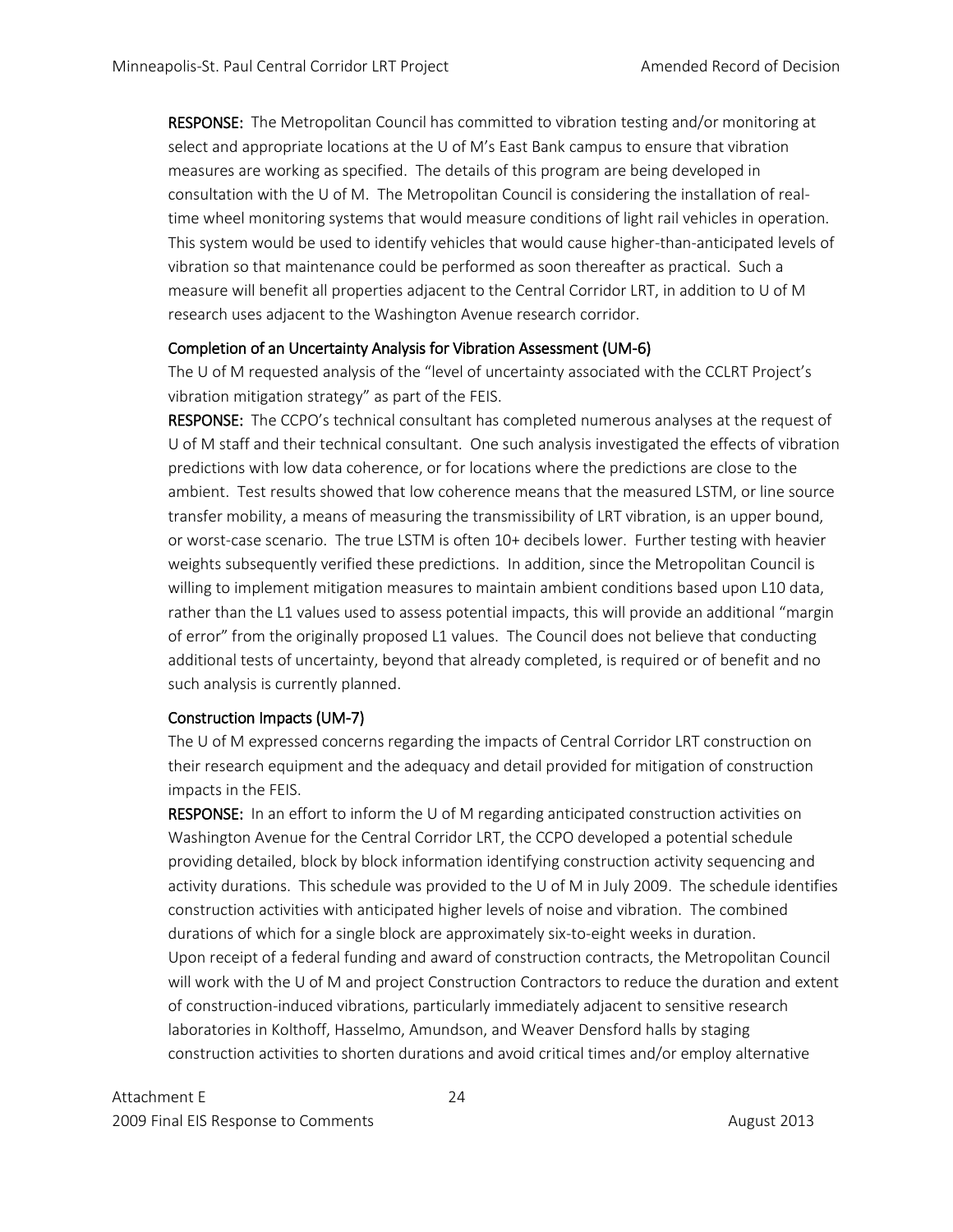RESPONSE: The Metropolitan Council has committed to vibration testing and/or monitoring at select and appropriate locations at the U of M's East Bank campus to ensure that vibration measures are working as specified. The details of this program are being developed in consultation with the U of M. The Metropolitan Council is considering the installation of realtime wheel monitoring systems that would measure conditions of light rail vehicles in operation. This system would be used to identify vehicles that would cause higher-than-anticipated levels of vibration so that maintenance could be performed as soon thereafter as practical. Such a measure will benefit all properties adjacent to the Central Corridor LRT, in addition to U of M research uses adjacent to the Washington Avenue research corridor.

# Completion of an Uncertainty Analysis for Vibration Assessment (UM-6)

The U of M requested analysis of the "level of uncertainty associated with the CCLRT Project's vibration mitigation strategy" as part of the FEIS.

RESPONSE: The CCPO's technical consultant has completed numerous analyses at the request of U of M staff and their technical consultant. One such analysis investigated the effects of vibration predictions with low data coherence, or for locations where the predictions are close to the ambient. Test results showed that low coherence means that the measured LSTM, or line source transfer mobility, a means of measuring the transmissibility of LRT vibration, is an upper bound, or worst-case scenario. The true LSTM is often 10+ decibels lower. Further testing with heavier weights subsequently verified these predictions. In addition, since the Metropolitan Council is willing to implement mitigation measures to maintain ambient conditions based upon L10 data, rather than the L1 values used to assess potential impacts, this will provide an additional "margin of error" from the originally proposed L1 values. The Council does not believe that conducting additional tests of uncertainty, beyond that already completed, is required or of benefit and no such analysis is currently planned.

# Construction Impacts (UM-7)

The U of M expressed concerns regarding the impacts of Central Corridor LRT construction on their research equipment and the adequacy and detail provided for mitigation of construction impacts in the FEIS.

RESPONSE: In an effort to inform the U of M regarding anticipated construction activities on Washington Avenue for the Central Corridor LRT, the CCPO developed a potential schedule providing detailed, block by block information identifying construction activity sequencing and activity durations. This schedule was provided to the U of M in July 2009. The schedule identifies construction activities with anticipated higher levels of noise and vibration. The combined durations of which for a single block are approximately six-to-eight weeks in duration. Upon receipt of a federal funding and award of construction contracts, the Metropolitan Council will work with the U of M and project Construction Contractors to reduce the duration and extent of construction-induced vibrations, particularly immediately adjacent to sensitive research laboratories in Kolthoff, Hasselmo, Amundson, and Weaver Densford halls by staging construction activities to shorten durations and avoid critical times and/or employ alternative

Attachment E 24 2009 Final EIS Response to Comments **August 2013** August 2013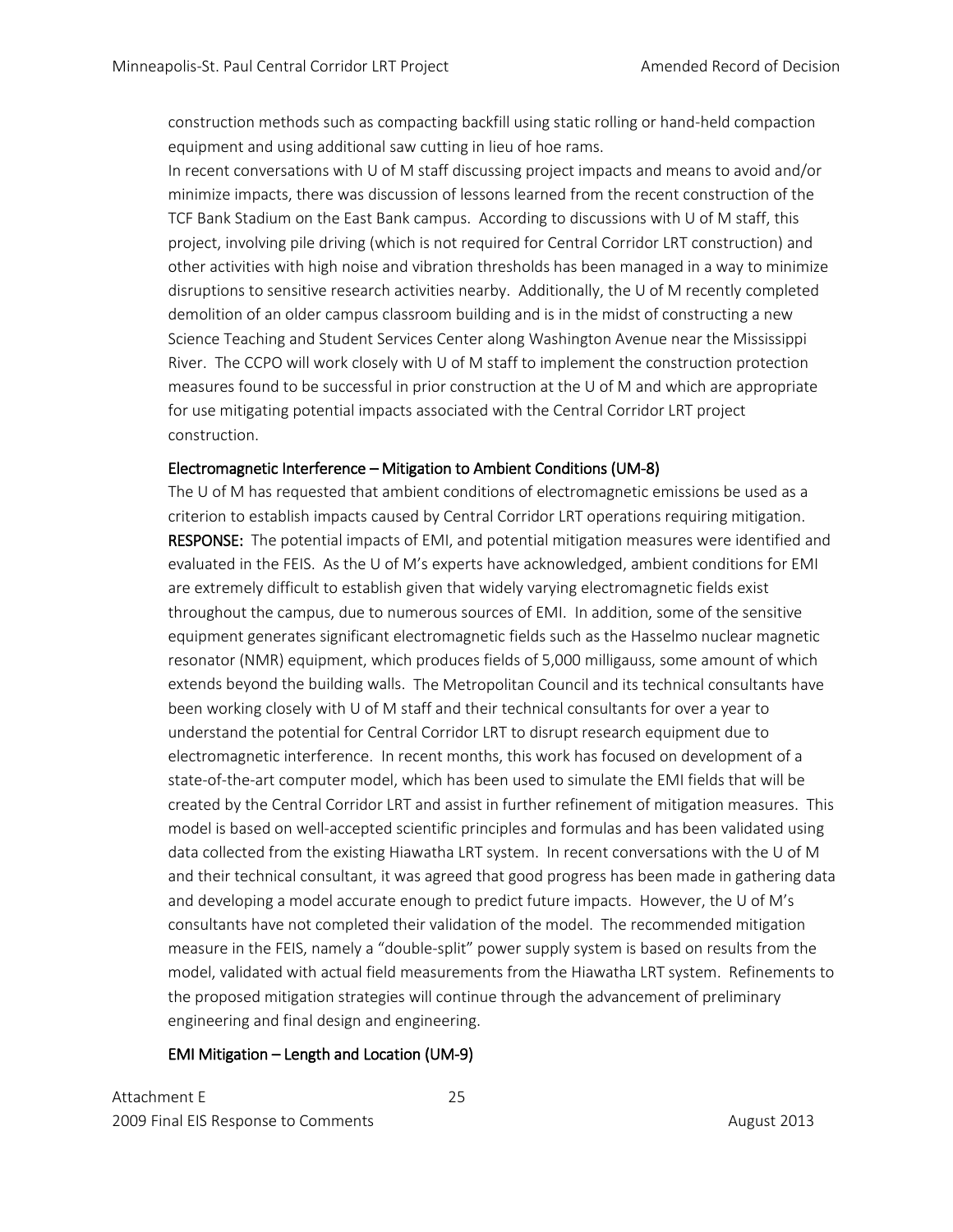construction methods such as compacting backfill using static rolling or hand-held compaction equipment and using additional saw cutting in lieu of hoe rams.

In recent conversations with U of M staff discussing project impacts and means to avoid and/or minimize impacts, there was discussion of lessons learned from the recent construction of the TCF Bank Stadium on the East Bank campus. According to discussions with U of M staff, this project, involving pile driving (which is not required for Central Corridor LRT construction) and other activities with high noise and vibration thresholds has been managed in a way to minimize disruptions to sensitive research activities nearby. Additionally, the U of M recently completed demolition of an older campus classroom building and is in the midst of constructing a new Science Teaching and Student Services Center along Washington Avenue near the Mississippi River. The CCPO will work closely with U of M staff to implement the construction protection measures found to be successful in prior construction at the U of M and which are appropriate for use mitigating potential impacts associated with the Central Corridor LRT project construction.

# Electromagnetic Interference – Mitigation to Ambient Conditions (UM-8)

The U of M has requested that ambient conditions of electromagnetic emissions be used as a criterion to establish impacts caused by Central Corridor LRT operations requiring mitigation. RESPONSE: The potential impacts of EMI, and potential mitigation measures were identified and evaluated in the FEIS. As the U of M's experts have acknowledged, ambient conditions for EMI are extremely difficult to establish given that widely varying electromagnetic fields exist throughout the campus, due to numerous sources of EMI. In addition, some of the sensitive equipment generates significant electromagnetic fields such as the Hasselmo nuclear magnetic resonator (NMR) equipment, which produces fields of 5,000 milligauss, some amount of which extends beyond the building walls. The Metropolitan Council and its technical consultants have been working closely with U of M staff and their technical consultants for over a year to understand the potential for Central Corridor LRT to disrupt research equipment due to electromagnetic interference. In recent months, this work has focused on development of a state-of-the-art computer model, which has been used to simulate the EMI fields that will be created by the Central Corridor LRT and assist in further refinement of mitigation measures. This model is based on well-accepted scientific principles and formulas and has been validated using data collected from the existing Hiawatha LRT system. In recent conversations with the U of M and their technical consultant, it was agreed that good progress has been made in gathering data and developing a model accurate enough to predict future impacts. However, the U of M's consultants have not completed their validation of the model. The recommended mitigation measure in the FEIS, namely a "double-split" power supply system is based on results from the model, validated with actual field measurements from the Hiawatha LRT system. Refinements to the proposed mitigation strategies will continue through the advancement of preliminary engineering and final design and engineering.

## EMI Mitigation – Length and Location (UM-9)

Attachment E 25 2009 Final EIS Response to Comments **August 2013** August 2013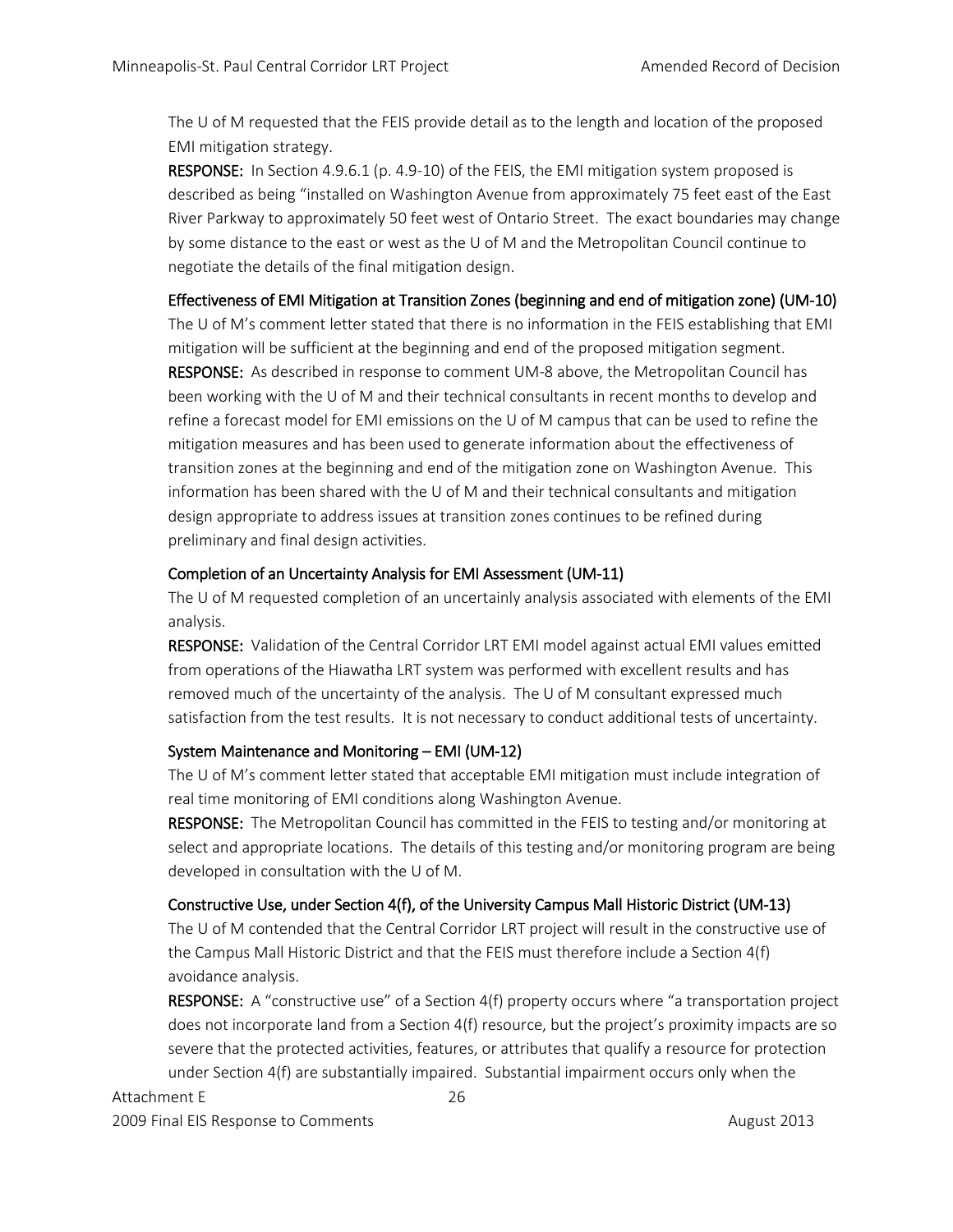The U of M requested that the FEIS provide detail as to the length and location of the proposed EMI mitigation strategy.

RESPONSE: In Section 4.9.6.1 (p. 4.9-10) of the FEIS, the EMI mitigation system proposed is described as being "installed on Washington Avenue from approximately 75 feet east of the East River Parkway to approximately 50 feet west of Ontario Street. The exact boundaries may change by some distance to the east or west as the U of M and the Metropolitan Council continue to negotiate the details of the final mitigation design.

# Effectiveness of EMI Mitigation at Transition Zones (beginning and end of mitigation zone) (UM-10)

The U of M's comment letter stated that there is no information in the FEIS establishing that EMI mitigation will be sufficient at the beginning and end of the proposed mitigation segment. RESPONSE: As described in response to comment UM-8 above, the Metropolitan Council has been working with the U of M and their technical consultants in recent months to develop and refine a forecast model for EMI emissions on the U of M campus that can be used to refine the mitigation measures and has been used to generate information about the effectiveness of transition zones at the beginning and end of the mitigation zone on Washington Avenue. This information has been shared with the U of M and their technical consultants and mitigation design appropriate to address issues at transition zones continues to be refined during preliminary and final design activities.

# Completion of an Uncertainty Analysis for EMI Assessment (UM-11)

The U of M requested completion of an uncertainly analysis associated with elements of the EMI analysis.

RESPONSE: Validation of the Central Corridor LRT EMI model against actual EMI values emitted from operations of the Hiawatha LRT system was performed with excellent results and has removed much of the uncertainty of the analysis. The U of M consultant expressed much satisfaction from the test results. It is not necessary to conduct additional tests of uncertainty.

# System Maintenance and Monitoring – EMI (UM-12)

The U of M's comment letter stated that acceptable EMI mitigation must include integration of real time monitoring of EMI conditions along Washington Avenue.

RESPONSE: The Metropolitan Council has committed in the FEIS to testing and/or monitoring at select and appropriate locations. The details of this testing and/or monitoring program are being developed in consultation with the U of M.

# Constructive Use, under Section 4(f), of the University Campus Mall Historic District (UM-13)

The U of M contended that the Central Corridor LRT project will result in the constructive use of the Campus Mall Historic District and that the FEIS must therefore include a Section 4(f) avoidance analysis.

RESPONSE: A "constructive use" of a Section 4(f) property occurs where "a transportation project does not incorporate land from a Section 4(f) resource, but the project's proximity impacts are so severe that the protected activities, features, or attributes that qualify a resource for protection under Section 4(f) are substantially impaired. Substantial impairment occurs only when the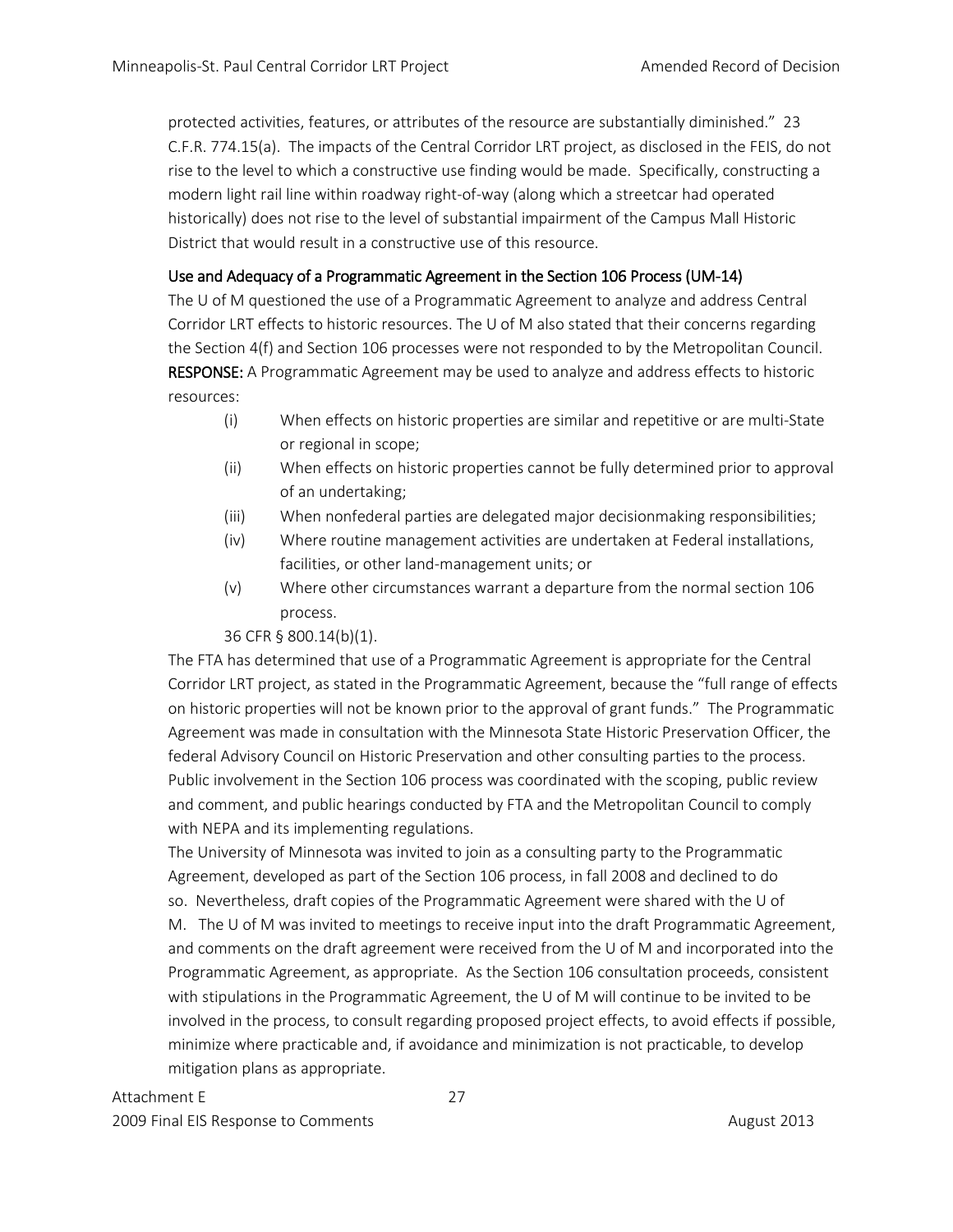protected activities, features, or attributes of the resource are substantially diminished." 23 C.F.R. 774.15(a). The impacts of the Central Corridor LRT project, as disclosed in the FEIS, do not rise to the level to which a constructive use finding would be made. Specifically, constructing a modern light rail line within roadway right-of-way (along which a streetcar had operated historically) does not rise to the level of substantial impairment of the Campus Mall Historic District that would result in a constructive use of this resource.

# Use and Adequacy of a Programmatic Agreement in the Section 106 Process (UM-14)

The U of M questioned the use of a Programmatic Agreement to analyze and address Central Corridor LRT effects to historic resources. The U of M also stated that their concerns regarding the Section 4(f) and Section 106 processes were not responded to by the Metropolitan Council. RESPONSE: A Programmatic Agreement may be used to analyze and address effects to historic resources:

- (i) When effects on historic properties are similar and repetitive or are multi-State or regional in scope;
- (ii) When effects on historic properties cannot be fully determined prior to approval of an undertaking;
- (iii) When nonfederal parties are delegated major decisionmaking responsibilities;
- (iv) Where routine management activities are undertaken at Federal installations, facilities, or other land-management units; or
- (v) Where other circumstances warrant a departure from the normal section 106 process.

36 CFR § 800.14(b)(1).

The FTA has determined that use of a Programmatic Agreement is appropriate for the Central Corridor LRT project, as stated in the Programmatic Agreement, because the "full range of effects on historic properties will not be known prior to the approval of grant funds." The Programmatic Agreement was made in consultation with the Minnesota State Historic Preservation Officer, the federal Advisory Council on Historic Preservation and other consulting parties to the process. Public involvement in the Section 106 process was coordinated with the scoping, public review and comment, and public hearings conducted by FTA and the Metropolitan Council to comply with NEPA and its implementing regulations.

The University of Minnesota was invited to join as a consulting party to the Programmatic Agreement, developed as part of the Section 106 process, in fall 2008 and declined to do so. Nevertheless, draft copies of the Programmatic Agreement were shared with the U of M. The U of M was invited to meetings to receive input into the draft Programmatic Agreement, and comments on the draft agreement were received from the U of M and incorporated into the Programmatic Agreement, as appropriate. As the Section 106 consultation proceeds, consistent with stipulations in the Programmatic Agreement, the U of M will continue to be invited to be involved in the process, to consult regarding proposed project effects, to avoid effects if possible, minimize where practicable and, if avoidance and minimization is not practicable, to develop mitigation plans as appropriate.